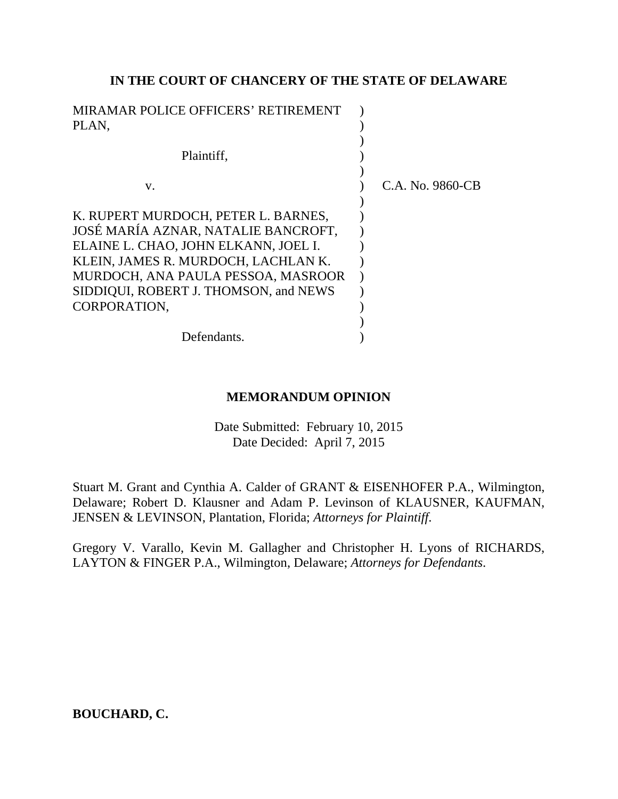### **IN THE COURT OF CHANCERY OF THE STATE OF DELAWARE**

| MIRAMAR POLICE OFFICERS' RETIREMENT   |                  |
|---------------------------------------|------------------|
| PLAN,                                 |                  |
|                                       |                  |
| Plaintiff,                            |                  |
|                                       |                  |
| V.                                    | C.A. No. 9860-CB |
|                                       |                  |
| K. RUPERT MURDOCH, PETER L. BARNES,   |                  |
| JOSÉ MARÍA AZNAR, NATALIE BANCROFT.   |                  |
| ELAINE L. CHAO, JOHN ELKANN, JOEL I.  |                  |
| KLEIN, JAMES R. MURDOCH, LACHLAN K.   |                  |
| MURDOCH, ANA PAULA PESSOA, MASROOR    |                  |
| SIDDIQUI, ROBERT J. THOMSON, and NEWS |                  |
| CORPORATION,                          |                  |
|                                       |                  |
| Defendants.                           |                  |

# **MEMORANDUM OPINION**

Date Submitted: February 10, 2015 Date Decided: April 7, 2015

Stuart M. Grant and Cynthia A. Calder of GRANT & EISENHOFER P.A., Wilmington, Delaware; Robert D. Klausner and Adam P. Levinson of KLAUSNER, KAUFMAN, JENSEN & LEVINSON, Plantation, Florida; *Attorneys for Plaintiff*.

Gregory V. Varallo, Kevin M. Gallagher and Christopher H. Lyons of RICHARDS, LAYTON & FINGER P.A., Wilmington, Delaware; *Attorneys for Defendants*.

**BOUCHARD, C.**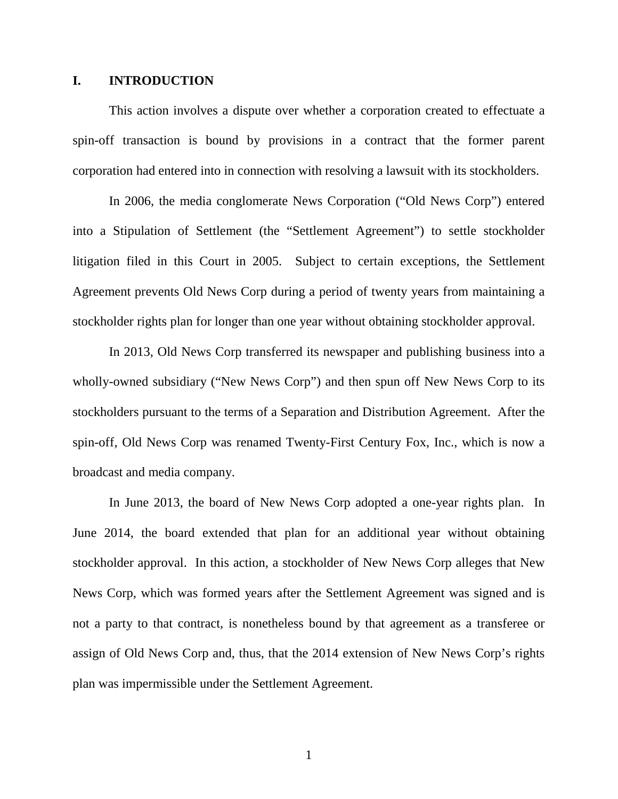#### **I. INTRODUCTION**

This action involves a dispute over whether a corporation created to effectuate a spin-off transaction is bound by provisions in a contract that the former parent corporation had entered into in connection with resolving a lawsuit with its stockholders.

In 2006, the media conglomerate News Corporation ("Old News Corp") entered into a Stipulation of Settlement (the "Settlement Agreement") to settle stockholder litigation filed in this Court in 2005. Subject to certain exceptions, the Settlement Agreement prevents Old News Corp during a period of twenty years from maintaining a stockholder rights plan for longer than one year without obtaining stockholder approval.

In 2013, Old News Corp transferred its newspaper and publishing business into a wholly-owned subsidiary ("New News Corp") and then spun off New News Corp to its stockholders pursuant to the terms of a Separation and Distribution Agreement. After the spin-off, Old News Corp was renamed Twenty-First Century Fox, Inc., which is now a broadcast and media company.

In June 2013, the board of New News Corp adopted a one-year rights plan. In June 2014, the board extended that plan for an additional year without obtaining stockholder approval. In this action, a stockholder of New News Corp alleges that New News Corp, which was formed years after the Settlement Agreement was signed and is not a party to that contract, is nonetheless bound by that agreement as a transferee or assign of Old News Corp and, thus, that the 2014 extension of New News Corp's rights plan was impermissible under the Settlement Agreement.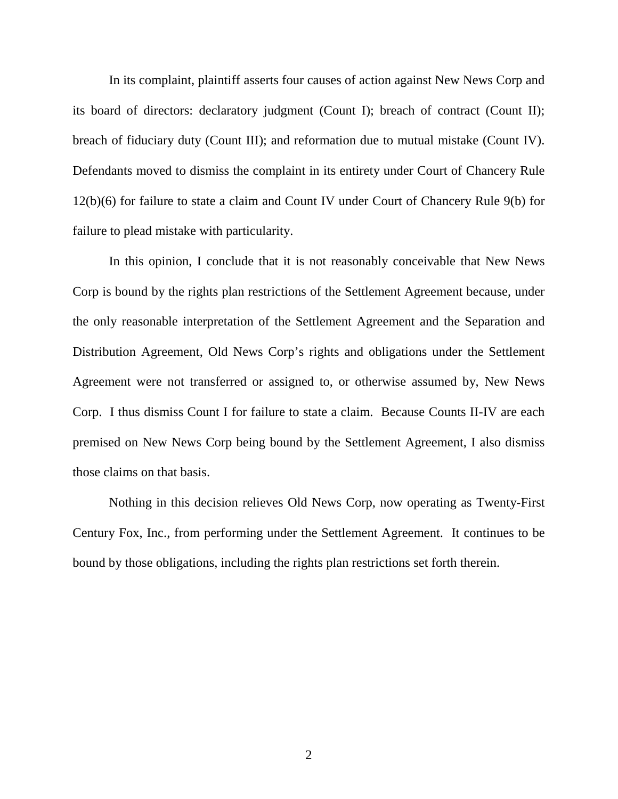In its complaint, plaintiff asserts four causes of action against New News Corp and its board of directors: declaratory judgment (Count I); breach of contract (Count II); breach of fiduciary duty (Count III); and reformation due to mutual mistake (Count IV). Defendants moved to dismiss the complaint in its entirety under Court of Chancery Rule 12(b)(6) for failure to state a claim and Count IV under Court of Chancery Rule 9(b) for failure to plead mistake with particularity.

In this opinion, I conclude that it is not reasonably conceivable that New News Corp is bound by the rights plan restrictions of the Settlement Agreement because, under the only reasonable interpretation of the Settlement Agreement and the Separation and Distribution Agreement, Old News Corp's rights and obligations under the Settlement Agreement were not transferred or assigned to, or otherwise assumed by, New News Corp. I thus dismiss Count I for failure to state a claim. Because Counts II-IV are each premised on New News Corp being bound by the Settlement Agreement, I also dismiss those claims on that basis.

Nothing in this decision relieves Old News Corp, now operating as Twenty-First Century Fox, Inc., from performing under the Settlement Agreement. It continues to be bound by those obligations, including the rights plan restrictions set forth therein.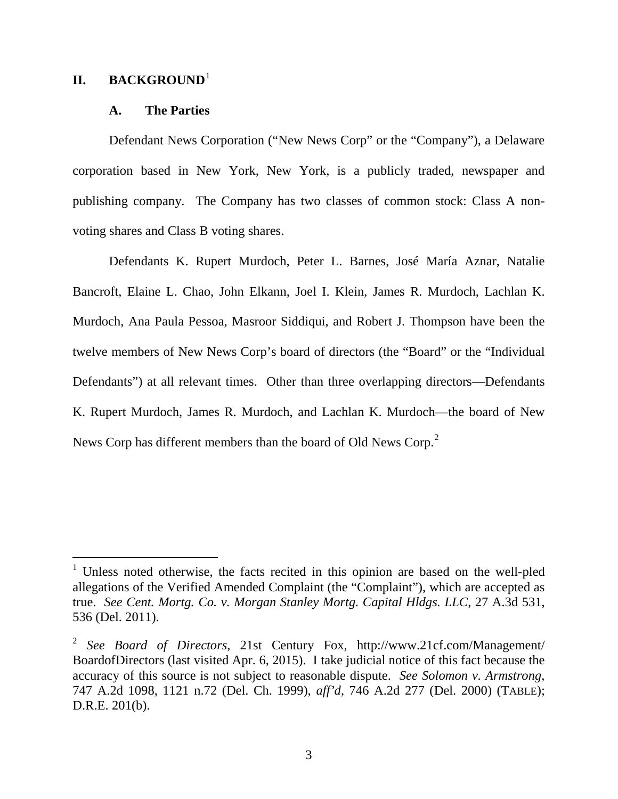### **II.** BACKGROUND<sup>[1](#page-3-0)</sup>

 $\overline{a}$ 

#### **A. The Parties**

Defendant News Corporation ("New News Corp" or the "Company"), a Delaware corporation based in New York, New York, is a publicly traded, newspaper and publishing company. The Company has two classes of common stock: Class A nonvoting shares and Class B voting shares.

Defendants K. Rupert Murdoch, Peter L. Barnes, José María Aznar, Natalie Bancroft, Elaine L. Chao, John Elkann, Joel I. Klein, James R. Murdoch, Lachlan K. Murdoch, Ana Paula Pessoa, Masroor Siddiqui, and Robert J. Thompson have been the twelve members of New News Corp's board of directors (the "Board" or the "Individual Defendants") at all relevant times. Other than three overlapping directors—Defendants K. Rupert Murdoch, James R. Murdoch, and Lachlan K. Murdoch—the board of New News Corp has different members than the board of Old News Corp.<sup>[2](#page-3-1)</sup>

<span id="page-3-0"></span><sup>&</sup>lt;sup>1</sup> Unless noted otherwise, the facts recited in this opinion are based on the well-pled allegations of the Verified Amended Complaint (the "Complaint"), which are accepted as true. *See Cent. Mortg. Co. v. Morgan Stanley Mortg. Capital Hldgs. LLC*, 27 A.3d 531, 536 (Del. 2011).

<span id="page-3-1"></span><sup>2</sup> *See Board of Directors*, 21st Century Fox, http://www.21cf.com/Management/ BoardofDirectors (last visited Apr. 6, 2015). I take judicial notice of this fact because the accuracy of this source is not subject to reasonable dispute. *See Solomon v. Armstrong*, 747 A.2d 1098, 1121 n.72 (Del. Ch. 1999), *aff'd*, 746 A.2d 277 (Del. 2000) (TABLE); D.R.E. 201(b).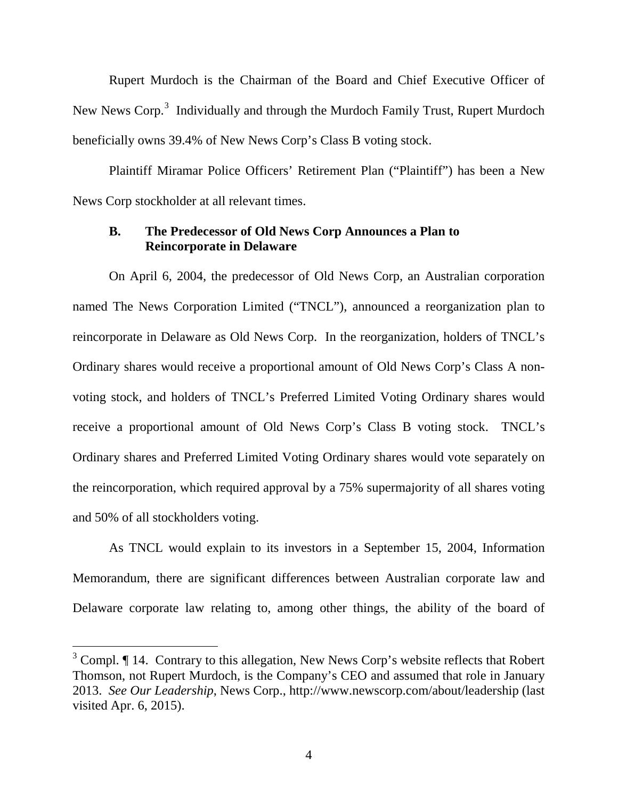Rupert Murdoch is the Chairman of the Board and Chief Executive Officer of New News Corp.<sup>[3](#page-4-0)</sup> Individually and through the Murdoch Family Trust, Rupert Murdoch beneficially owns 39.4% of New News Corp's Class B voting stock.

Plaintiff Miramar Police Officers' Retirement Plan ("Plaintiff") has been a New News Corp stockholder at all relevant times.

#### **B. The Predecessor of Old News Corp Announces a Plan to Reincorporate in Delaware**

On April 6, 2004, the predecessor of Old News Corp, an Australian corporation named The News Corporation Limited ("TNCL"), announced a reorganization plan to reincorporate in Delaware as Old News Corp. In the reorganization, holders of TNCL's Ordinary shares would receive a proportional amount of Old News Corp's Class A nonvoting stock, and holders of TNCL's Preferred Limited Voting Ordinary shares would receive a proportional amount of Old News Corp's Class B voting stock. TNCL's Ordinary shares and Preferred Limited Voting Ordinary shares would vote separately on the reincorporation, which required approval by a 75% supermajority of all shares voting and 50% of all stockholders voting.

As TNCL would explain to its investors in a September 15, 2004, Information Memorandum, there are significant differences between Australian corporate law and Delaware corporate law relating to, among other things, the ability of the board of

<span id="page-4-0"></span> $3$  Compl.  $\P$  14. Contrary to this allegation, New News Corp's website reflects that Robert Thomson, not Rupert Murdoch, is the Company's CEO and assumed that role in January 2013. *See Our Leadership*, News Corp., http://www.newscorp.com/about/leadership (last visited Apr. 6, 2015).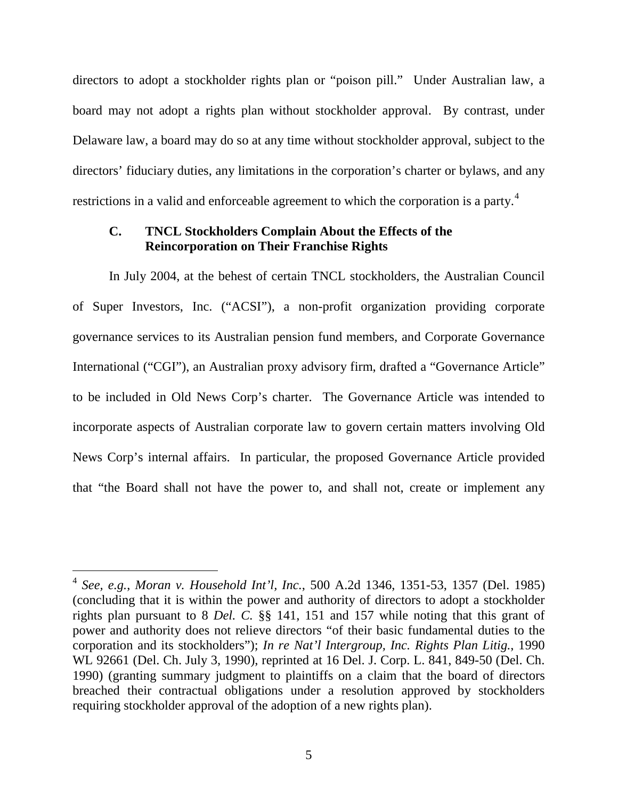directors to adopt a stockholder rights plan or "poison pill." Under Australian law, a board may not adopt a rights plan without stockholder approval. By contrast, under Delaware law, a board may do so at any time without stockholder approval, subject to the directors' fiduciary duties, any limitations in the corporation's charter or bylaws, and any restrictions in a valid and enforceable agreement to which the corporation is a party.<sup>[4](#page-5-0)</sup>

### **C. TNCL Stockholders Complain About the Effects of the Reincorporation on Their Franchise Rights**

In July 2004, at the behest of certain TNCL stockholders, the Australian Council of Super Investors, Inc. ("ACSI"), a non-profit organization providing corporate governance services to its Australian pension fund members, and Corporate Governance International ("CGI"), an Australian proxy advisory firm, drafted a "Governance Article" to be included in Old News Corp's charter. The Governance Article was intended to incorporate aspects of Australian corporate law to govern certain matters involving Old News Corp's internal affairs. In particular, the proposed Governance Article provided that "the Board shall not have the power to, and shall not, create or implement any

<span id="page-5-0"></span><sup>4</sup> *See, e.g.*, *Moran v. Household Int'l, Inc.*, 500 A.2d 1346, 1351-53, 1357 (Del. 1985) (concluding that it is within the power and authority of directors to adopt a stockholder rights plan pursuant to 8 *Del. C.* §§ 141, 151 and 157 while noting that this grant of power and authority does not relieve directors "of their basic fundamental duties to the corporation and its stockholders"); *In re Nat'l Intergroup, Inc. Rights Plan Litig.*, 1990 WL 92661 (Del. Ch. July 3, 1990), reprinted at 16 Del. J. Corp. L. 841, 849-50 (Del. Ch. 1990) (granting summary judgment to plaintiffs on a claim that the board of directors breached their contractual obligations under a resolution approved by stockholders requiring stockholder approval of the adoption of a new rights plan).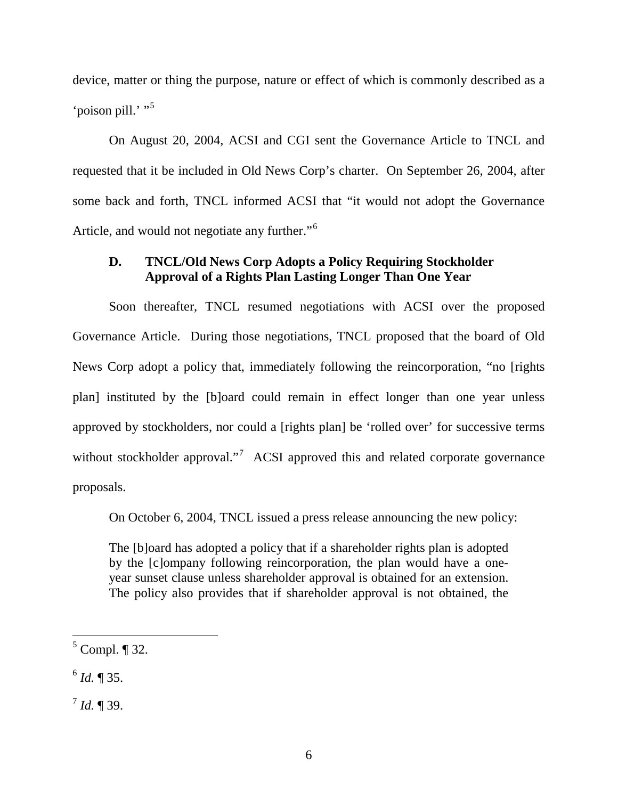device, matter or thing the purpose, nature or effect of which is commonly described as a 'poison pill.' "<sup>[5](#page-6-0)</sup>

On August 20, 2004, ACSI and CGI sent the Governance Article to TNCL and requested that it be included in Old News Corp's charter. On September 26, 2004, after some back and forth, TNCL informed ACSI that "it would not adopt the Governance Article, and would not negotiate any further."<sup>[6](#page-6-1)</sup>

# **D. TNCL/Old News Corp Adopts a Policy Requiring Stockholder Approval of a Rights Plan Lasting Longer Than One Year**

Soon thereafter, TNCL resumed negotiations with ACSI over the proposed Governance Article. During those negotiations, TNCL proposed that the board of Old News Corp adopt a policy that, immediately following the reincorporation, "no [rights plan] instituted by the [b]oard could remain in effect longer than one year unless approved by stockholders, nor could a [rights plan] be 'rolled over' for successive terms without stockholder approval."<sup>[7](#page-6-2)</sup> ACSI approved this and related corporate governance proposals.

On October 6, 2004, TNCL issued a press release announcing the new policy:

The [b]oard has adopted a policy that if a shareholder rights plan is adopted by the [c]ompany following reincorporation, the plan would have a oneyear sunset clause unless shareholder approval is obtained for an extension. The policy also provides that if shareholder approval is not obtained, the

<span id="page-6-0"></span> $<sup>5</sup>$  Compl.  $\P$  32.</sup>

<span id="page-6-1"></span> $^{6}$  *Id.* ¶ 35.

<span id="page-6-2"></span> $^{7}$  *Id.* ¶ 39.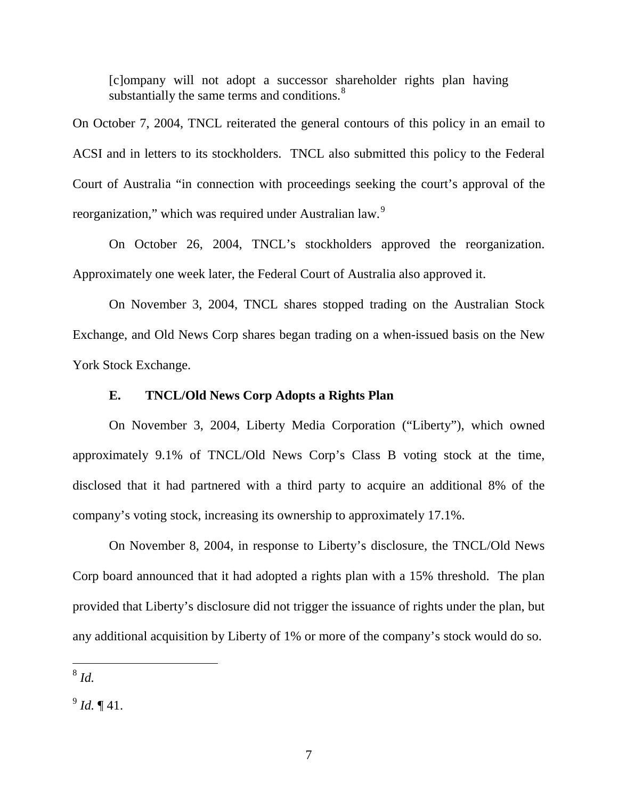[c]ompany will not adopt a successor shareholder rights plan having substantially the same terms and conditions. $8<sup>8</sup>$  $8<sup>8</sup>$ 

On October 7, 2004, TNCL reiterated the general contours of this policy in an email to ACSI and in letters to its stockholders. TNCL also submitted this policy to the Federal Court of Australia "in connection with proceedings seeking the court's approval of the reorganization," which was required under Australian law.<sup>[9](#page-7-1)</sup>

On October 26, 2004, TNCL's stockholders approved the reorganization. Approximately one week later, the Federal Court of Australia also approved it.

On November 3, 2004, TNCL shares stopped trading on the Australian Stock Exchange, and Old News Corp shares began trading on a when-issued basis on the New York Stock Exchange.

#### **E. TNCL/Old News Corp Adopts a Rights Plan**

On November 3, 2004, Liberty Media Corporation ("Liberty"), which owned approximately 9.1% of TNCL/Old News Corp's Class B voting stock at the time, disclosed that it had partnered with a third party to acquire an additional 8% of the company's voting stock, increasing its ownership to approximately 17.1%.

On November 8, 2004, in response to Liberty's disclosure, the TNCL/Old News Corp board announced that it had adopted a rights plan with a 15% threshold. The plan provided that Liberty's disclosure did not trigger the issuance of rights under the plan, but any additional acquisition by Liberty of 1% or more of the company's stock would do so.

<span id="page-7-0"></span><sup>8</sup> *Id.*  $\overline{a}$ 

<span id="page-7-1"></span> $^{9}$  *Id.* ¶ 41.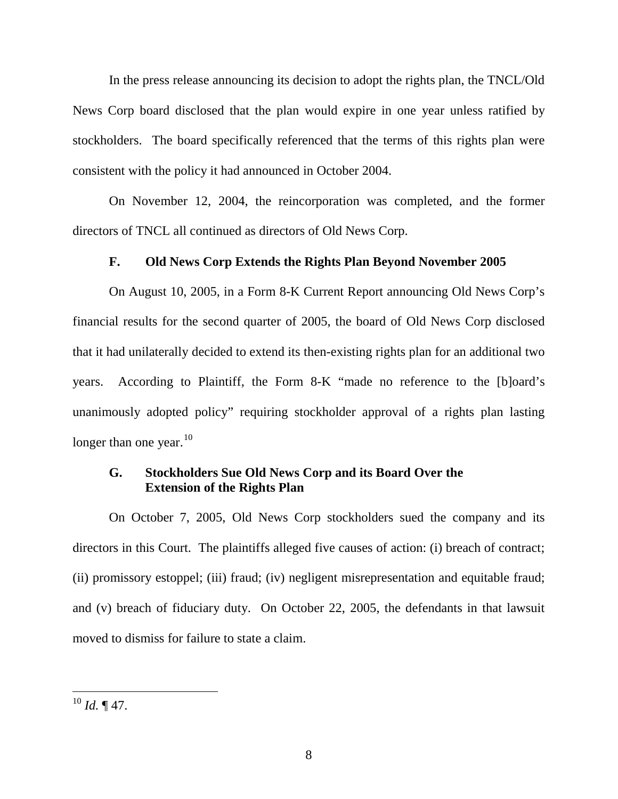In the press release announcing its decision to adopt the rights plan, the TNCL/Old News Corp board disclosed that the plan would expire in one year unless ratified by stockholders. The board specifically referenced that the terms of this rights plan were consistent with the policy it had announced in October 2004.

On November 12, 2004, the reincorporation was completed, and the former directors of TNCL all continued as directors of Old News Corp.

### **F. Old News Corp Extends the Rights Plan Beyond November 2005**

On August 10, 2005, in a Form 8-K Current Report announcing Old News Corp's financial results for the second quarter of 2005, the board of Old News Corp disclosed that it had unilaterally decided to extend its then-existing rights plan for an additional two years. According to Plaintiff, the Form 8-K "made no reference to the [b]oard's unanimously adopted policy" requiring stockholder approval of a rights plan lasting longer than one year.<sup>10</sup>

# **G. Stockholders Sue Old News Corp and its Board Over the Extension of the Rights Plan**

On October 7, 2005, Old News Corp stockholders sued the company and its directors in this Court. The plaintiffs alleged five causes of action: (i) breach of contract; (ii) promissory estoppel; (iii) fraud; (iv) negligent misrepresentation and equitable fraud; and (v) breach of fiduciary duty. On October 22, 2005, the defendants in that lawsuit moved to dismiss for failure to state a claim.

<span id="page-8-0"></span> $^{10}$  *Id.* ¶ 47.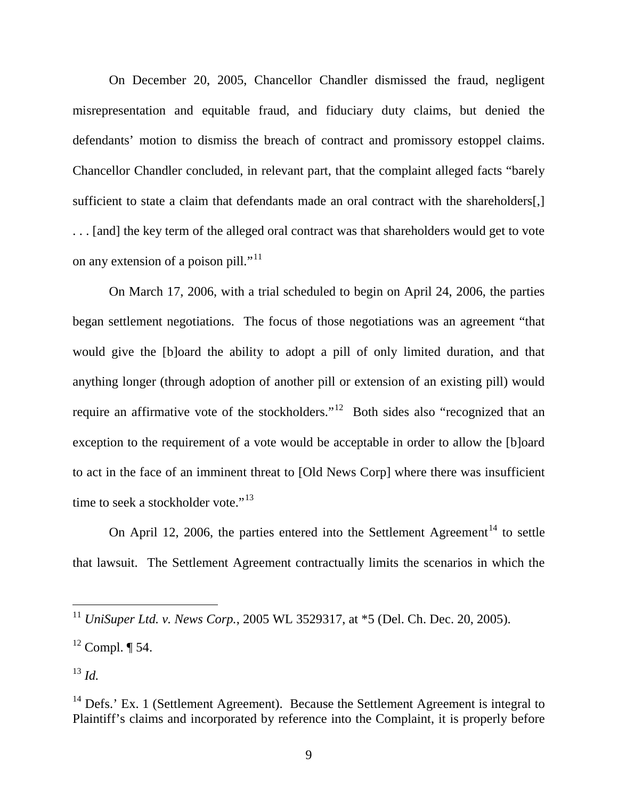On December 20, 2005, Chancellor Chandler dismissed the fraud, negligent misrepresentation and equitable fraud, and fiduciary duty claims, but denied the defendants' motion to dismiss the breach of contract and promissory estoppel claims. Chancellor Chandler concluded, in relevant part, that the complaint alleged facts "barely sufficient to state a claim that defendants made an oral contract with the shareholders[,] . . . [and] the key term of the alleged oral contract was that shareholders would get to vote on any extension of a poison pill."<sup>[11](#page-9-0)</sup>

On March 17, 2006, with a trial scheduled to begin on April 24, 2006, the parties began settlement negotiations. The focus of those negotiations was an agreement "that would give the [b]oard the ability to adopt a pill of only limited duration, and that anything longer (through adoption of another pill or extension of an existing pill) would require an affirmative vote of the stockholders."<sup>[12](#page-9-1)</sup> Both sides also "recognized that an exception to the requirement of a vote would be acceptable in order to allow the [b]oard to act in the face of an imminent threat to [Old News Corp] where there was insufficient time to seek a stockholder vote." $13$ 

On April 12, 2006, the parties entered into the Settlement Agreement<sup>[14](#page-9-3)</sup> to settle that lawsuit. The Settlement Agreement contractually limits the scenarios in which the

<span id="page-9-0"></span><sup>11</sup> *UniSuper Ltd. v. News Corp.*, 2005 WL 3529317, at \*5 (Del. Ch. Dec. 20, 2005).

<span id="page-9-1"></span> $12$  Compl.  $\P$  54.

<span id="page-9-2"></span><sup>13</sup> *Id.*

<span id="page-9-3"></span> $14$  Defs.' Ex. 1 (Settlement Agreement). Because the Settlement Agreement is integral to Plaintiff's claims and incorporated by reference into the Complaint, it is properly before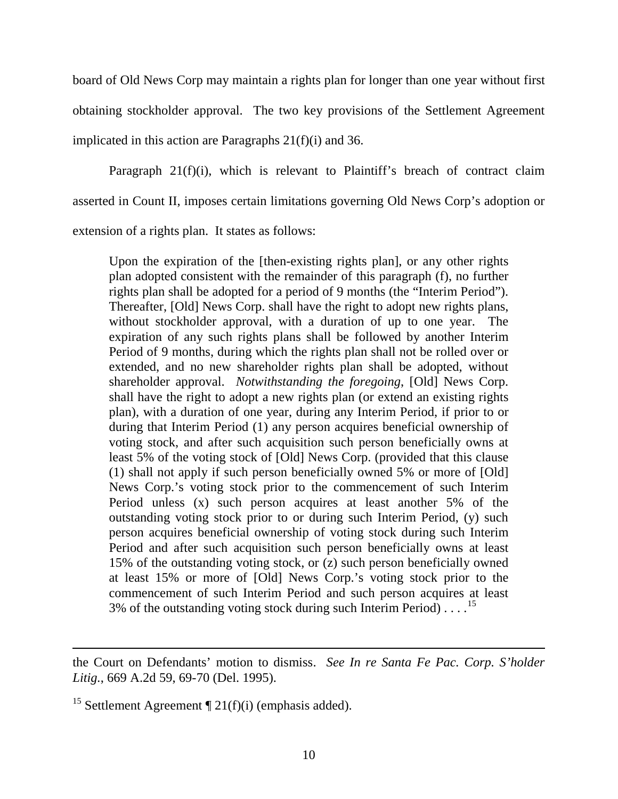board of Old News Corp may maintain a rights plan for longer than one year without first obtaining stockholder approval. The two key provisions of the Settlement Agreement implicated in this action are Paragraphs 21(f)(i) and 36.

Paragraph 21(f)(i), which is relevant to Plaintiff's breach of contract claim asserted in Count II, imposes certain limitations governing Old News Corp's adoption or extension of a rights plan. It states as follows:

Upon the expiration of the [then-existing rights plan], or any other rights plan adopted consistent with the remainder of this paragraph (f), no further rights plan shall be adopted for a period of 9 months (the "Interim Period"). Thereafter, [Old] News Corp. shall have the right to adopt new rights plans, without stockholder approval, with a duration of up to one year. The expiration of any such rights plans shall be followed by another Interim Period of 9 months, during which the rights plan shall not be rolled over or extended, and no new shareholder rights plan shall be adopted, without shareholder approval. *Notwithstanding the foregoing*, [Old] News Corp. shall have the right to adopt a new rights plan (or extend an existing rights plan), with a duration of one year, during any Interim Period, if prior to or during that Interim Period (1) any person acquires beneficial ownership of voting stock, and after such acquisition such person beneficially owns at least 5% of the voting stock of [Old] News Corp. (provided that this clause (1) shall not apply if such person beneficially owned 5% or more of [Old] News Corp.'s voting stock prior to the commencement of such Interim Period unless (x) such person acquires at least another 5% of the outstanding voting stock prior to or during such Interim Period, (y) such person acquires beneficial ownership of voting stock during such Interim Period and after such acquisition such person beneficially owns at least 15% of the outstanding voting stock, or (z) such person beneficially owned at least 15% or more of [Old] News Corp.'s voting stock prior to the commencement of such Interim Period and such person acquires at least 3% of the outstanding voting stock during such Interim Period)....<sup>[15](#page-10-0)</sup>

the Court on Defendants' motion to dismiss. *See In re Santa Fe Pac. Corp. S'holder Litig.*, 669 A.2d 59, 69-70 (Del. 1995).

<span id="page-10-0"></span><sup>&</sup>lt;sup>15</sup> Settlement Agreement  $\P$  21(f)(i) (emphasis added).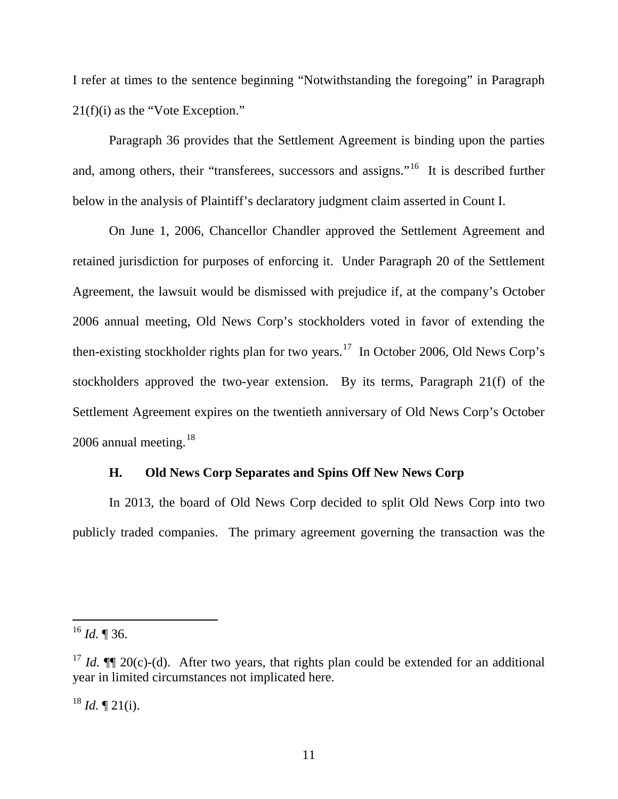I refer at times to the sentence beginning "Notwithstanding the foregoing" in Paragraph 21(f)(i) as the "Vote Exception."

Paragraph 36 provides that the Settlement Agreement is binding upon the parties and, among others, their "transferees, successors and assigns."<sup>[16](#page-11-0)</sup> It is described further below in the analysis of Plaintiff's declaratory judgment claim asserted in Count I.

On June 1, 2006, Chancellor Chandler approved the Settlement Agreement and retained jurisdiction for purposes of enforcing it. Under Paragraph 20 of the Settlement Agreement, the lawsuit would be dismissed with prejudice if, at the company's October 2006 annual meeting, Old News Corp's stockholders voted in favor of extending the then-existing stockholder rights plan for two years.<sup>17</sup> In October 2006, Old News Corp's stockholders approved the two-year extension. By its terms, Paragraph 21(f) of the Settlement Agreement expires on the twentieth anniversary of Old News Corp's October 2006 annual meeting. $18$ 

### **H. Old News Corp Separates and Spins Off New News Corp**

In 2013, the board of Old News Corp decided to split Old News Corp into two publicly traded companies. The primary agreement governing the transaction was the

 $\overline{a}$ 

<span id="page-11-2"></span> $18$  *Id.*  $\sqrt{21(i)}$ .

<span id="page-11-0"></span><sup>16</sup> *Id.* ¶ 36.

<span id="page-11-1"></span><sup>&</sup>lt;sup>17</sup> *Id.*  $\P$  20(c)-(d). After two years, that rights plan could be extended for an additional year in limited circumstances not implicated here.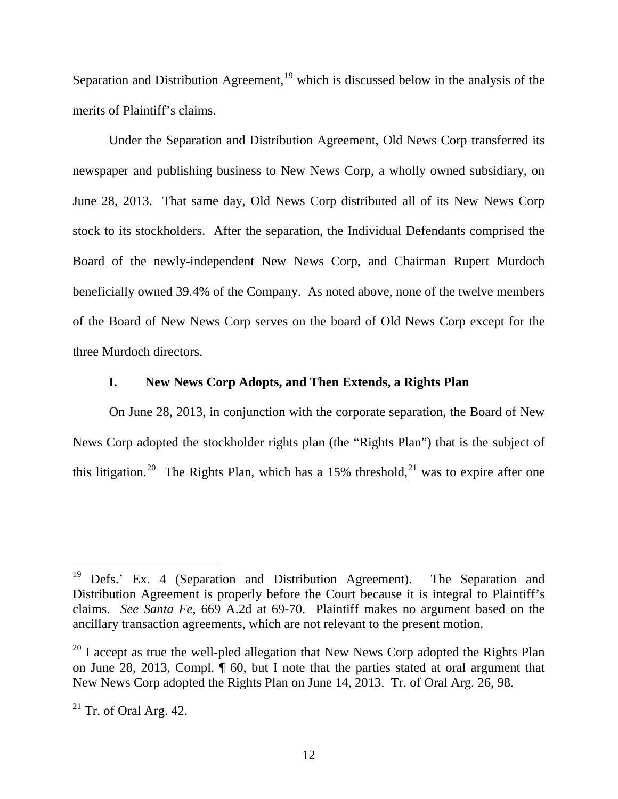Separation and Distribution Agreement,<sup>[19](#page-12-0)</sup> which is discussed below in the analysis of the merits of Plaintiff's claims.

Under the Separation and Distribution Agreement, Old News Corp transferred its newspaper and publishing business to New News Corp, a wholly owned subsidiary, on June 28, 2013. That same day, Old News Corp distributed all of its New News Corp stock to its stockholders. After the separation, the Individual Defendants comprised the Board of the newly-independent New News Corp, and Chairman Rupert Murdoch beneficially owned 39.4% of the Company. As noted above, none of the twelve members of the Board of New News Corp serves on the board of Old News Corp except for the three Murdoch directors.

#### **I. New News Corp Adopts, and Then Extends, a Rights Plan**

On June 28, 2013, in conjunction with the corporate separation, the Board of New News Corp adopted the stockholder rights plan (the "Rights Plan") that is the subject of this litigation.<sup>[20](#page-12-1)</sup> The Rights Plan, which has a 15% threshold,<sup>[21](#page-12-2)</sup> was to expire after one

<span id="page-12-0"></span><sup>&</sup>lt;sup>19</sup> Defs.' Ex. 4 (Separation and Distribution Agreement). The Separation and Distribution Agreement is properly before the Court because it is integral to Plaintiff's claims. *See Santa Fe*, 669 A.2d at 69-70. Plaintiff makes no argument based on the ancillary transaction agreements, which are not relevant to the present motion.

<span id="page-12-1"></span> $^{20}$  I accept as true the well-pled allegation that New News Corp adopted the Rights Plan on June 28, 2013, Compl. ¶ 60, but I note that the parties stated at oral argument that New News Corp adopted the Rights Plan on June 14, 2013. Tr. of Oral Arg. 26, 98.

<span id="page-12-2"></span> $21$  Tr. of Oral Arg. 42.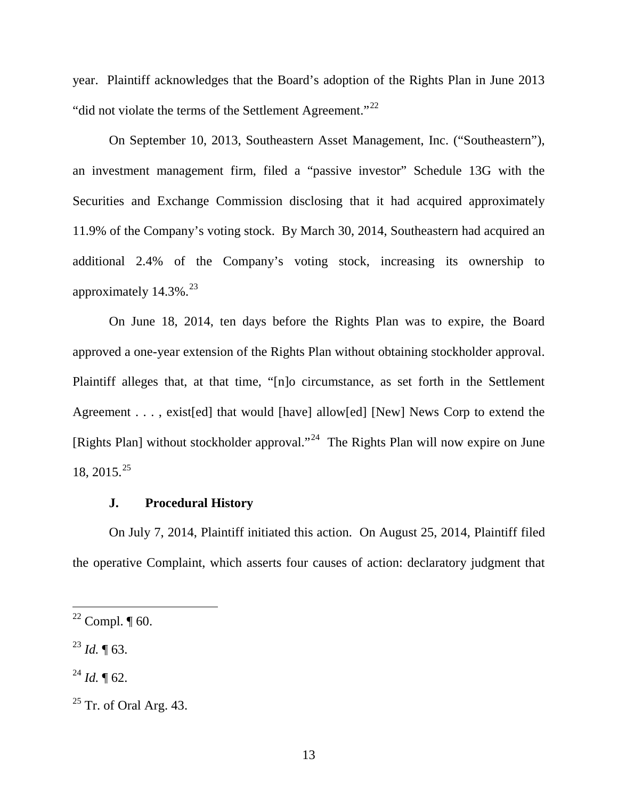year.Plaintiff acknowledges that the Board's adoption of the Rights Plan in June 2013 "did not violate the terms of the Settlement Agreement."<sup>[22](#page-13-0)</sup>

On September 10, 2013, Southeastern Asset Management, Inc. ("Southeastern"), an investment management firm, filed a "passive investor" Schedule 13G with the Securities and Exchange Commission disclosing that it had acquired approximately 11.9% of the Company's voting stock. By March 30, 2014, Southeastern had acquired an additional 2.4% of the Company's voting stock, increasing its ownership to approximately 14.3%.<sup>[23](#page-13-1)</sup>

On June 18, 2014, ten days before the Rights Plan was to expire, the Board approved a one-year extension of the Rights Plan without obtaining stockholder approval. Plaintiff alleges that, at that time, "[n]o circumstance, as set forth in the Settlement Agreement . . . , exist[ed] that would [have] allow[ed] [New] News Corp to extend the [Rights Plan] without stockholder approval."<sup>24</sup> The Rights Plan will now expire on June 18, 2015.<sup>[25](#page-13-3)</sup>

#### **J. Procedural History**

On July 7, 2014, Plaintiff initiated this action. On August 25, 2014, Plaintiff filed the operative Complaint, which asserts four causes of action: declaratory judgment that

<span id="page-13-0"></span> $22$  Compl.  $\P$  60.

<span id="page-13-1"></span><sup>23</sup> *Id.* ¶ 63.

<span id="page-13-2"></span> $^{24}$  *Id.* ¶ 62.

<span id="page-13-3"></span> $25$  Tr. of Oral Arg. 43.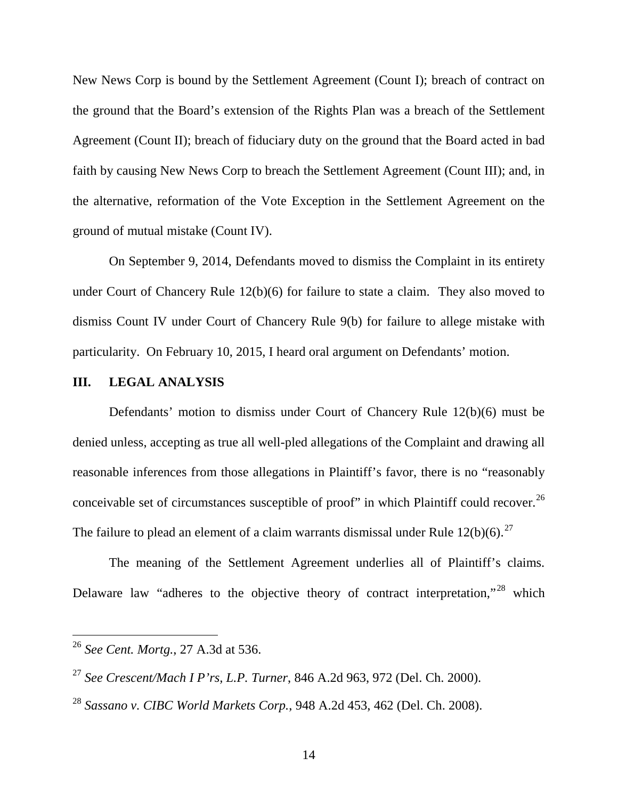New News Corp is bound by the Settlement Agreement (Count I); breach of contract on the ground that the Board's extension of the Rights Plan was a breach of the Settlement Agreement (Count II); breach of fiduciary duty on the ground that the Board acted in bad faith by causing New News Corp to breach the Settlement Agreement (Count III); and, in the alternative, reformation of the Vote Exception in the Settlement Agreement on the ground of mutual mistake (Count IV).

On September 9, 2014, Defendants moved to dismiss the Complaint in its entirety under Court of Chancery Rule 12(b)(6) for failure to state a claim. They also moved to dismiss Count IV under Court of Chancery Rule 9(b) for failure to allege mistake with particularity. On February 10, 2015, I heard oral argument on Defendants' motion.

#### **III. LEGAL ANALYSIS**

Defendants' motion to dismiss under Court of Chancery Rule 12(b)(6) must be denied unless, accepting as true all well-pled allegations of the Complaint and drawing all reasonable inferences from those allegations in Plaintiff's favor, there is no "reasonably conceivable set of circumstances susceptible of proof" in which Plaintiff could recover.<sup>[26](#page-14-0)</sup> The failure to plead an element of a claim warrants dismissal under Rule  $12(b)(6)$ .<sup>[27](#page-14-1)</sup>

The meaning of the Settlement Agreement underlies all of Plaintiff's claims. Delaware law "adheres to the objective theory of contract interpretation,"<sup>[28](#page-14-2)</sup> which

<span id="page-14-0"></span><sup>26</sup> *See Cent. Mortg.*, 27 A.3d at 536.

<span id="page-14-1"></span><sup>27</sup> *See Crescent/Mach I P'rs, L.P. Turner*, 846 A.2d 963, 972 (Del. Ch. 2000).

<span id="page-14-2"></span><sup>28</sup> *Sassano v. CIBC World Markets Corp.*, 948 A.2d 453, 462 (Del. Ch. 2008).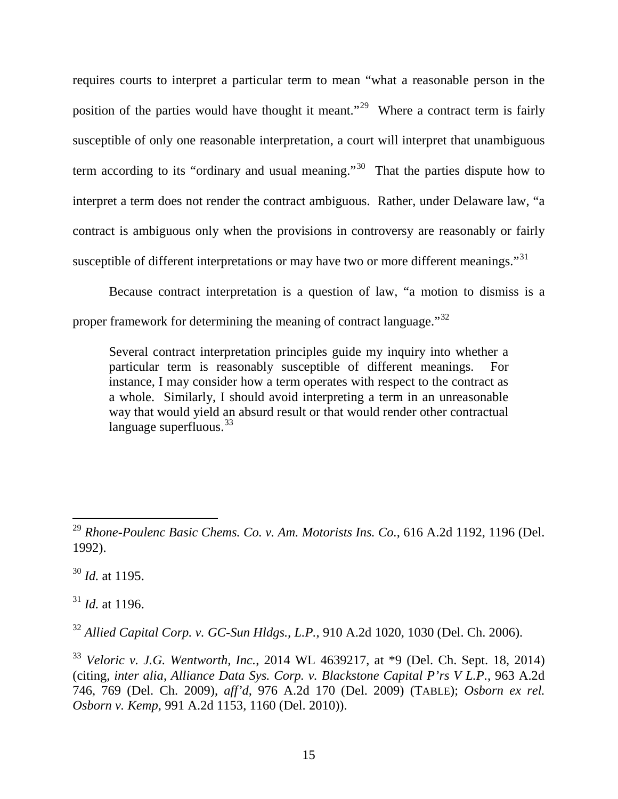requires courts to interpret a particular term to mean "what a reasonable person in the position of the parties would have thought it meant."<sup>29</sup> Where a contract term is fairly susceptible of only one reasonable interpretation, a court will interpret that unambiguous term according to its "ordinary and usual meaning."<sup>[30](#page-15-1)</sup> That the parties dispute how to interpret a term does not render the contract ambiguous. Rather, under Delaware law, "a contract is ambiguous only when the provisions in controversy are reasonably or fairly susceptible of different interpretations or may have two or more different meanings."<sup>[31](#page-15-2)</sup>

Because contract interpretation is a question of law, "a motion to dismiss is a proper framework for determining the meaning of contract language."<sup>[32](#page-15-3)</sup>

Several contract interpretation principles guide my inquiry into whether a particular term is reasonably susceptible of different meanings. For instance, I may consider how a term operates with respect to the contract as a whole. Similarly, I should avoid interpreting a term in an unreasonable way that would yield an absurd result or that would render other contractual language superfluous. $33$ 

<span id="page-15-1"></span><sup>30</sup> *Id.* at 1195.

<span id="page-15-2"></span><sup>31</sup> *Id.* at 1196.

<span id="page-15-3"></span><sup>32</sup> *Allied Capital Corp. v. GC-Sun Hldgs., L.P.*, 910 A.2d 1020, 1030 (Del. Ch. 2006).

<span id="page-15-0"></span><sup>29</sup> *Rhone-Poulenc Basic Chems. Co. v. Am. Motorists Ins. Co.*, 616 A.2d 1192, 1196 (Del. 1992).  $\overline{a}$ 

<span id="page-15-4"></span><sup>33</sup> *Veloric v. J.G. Wentworth, Inc.*, 2014 WL 4639217, at \*9 (Del. Ch. Sept. 18, 2014) (citing, *inter alia*, *Alliance Data Sys. Corp. v. Blackstone Capital P'rs V L.P.*, 963 A.2d 746, 769 (Del. Ch. 2009), *aff'd*, 976 A.2d 170 (Del. 2009) (TABLE); *Osborn ex rel. Osborn v. Kemp*, 991 A.2d 1153, 1160 (Del. 2010)).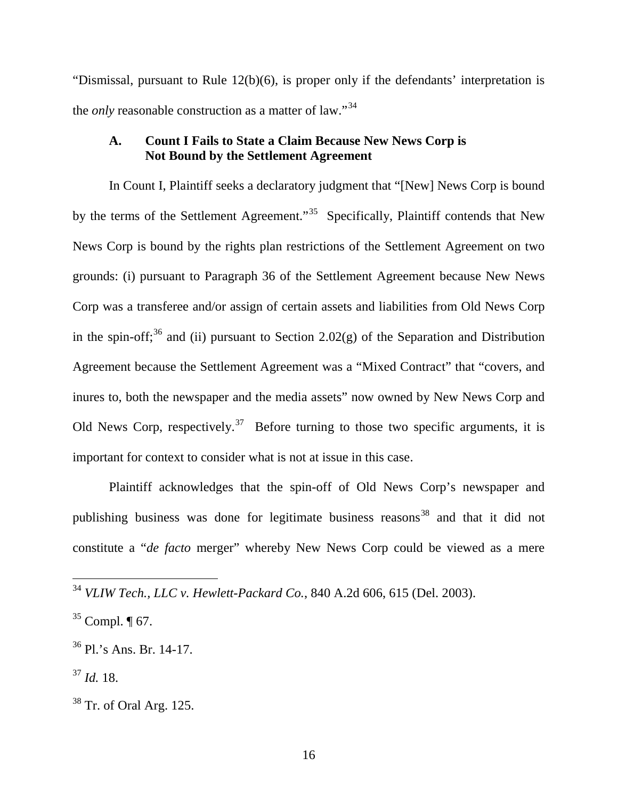"Dismissal, pursuant to Rule 12(b)(6), is proper only if the defendants' interpretation is the *only* reasonable construction as a matter of law."<sup>[34](#page-16-0)</sup>

## **A. Count I Fails to State a Claim Because New News Corp is Not Bound by the Settlement Agreement**

In Count I, Plaintiff seeks a declaratory judgment that "[New] News Corp is bound by the terms of the Settlement Agreement."<sup>[35](#page-16-1)</sup> Specifically, Plaintiff contends that New News Corp is bound by the rights plan restrictions of the Settlement Agreement on two grounds: (i) pursuant to Paragraph 36 of the Settlement Agreement because New News Corp was a transferee and/or assign of certain assets and liabilities from Old News Corp in the spin-off;<sup>[36](#page-16-2)</sup> and (ii) pursuant to Section 2.02(g) of the Separation and Distribution Agreement because the Settlement Agreement was a "Mixed Contract" that "covers, and inures to, both the newspaper and the media assets" now owned by New News Corp and Old News Corp, respectively.<sup>37</sup> Before turning to those two specific arguments, it is important for context to consider what is not at issue in this case.

Plaintiff acknowledges that the spin-off of Old News Corp's newspaper and publishing business was done for legitimate business reasons<sup>[38](#page-16-4)</sup> and that it did not constitute a "*de facto* merger" whereby New News Corp could be viewed as a mere

<span id="page-16-0"></span><sup>34</sup> *VLIW Tech., LLC v. Hewlett-Packard Co.*, 840 A.2d 606, 615 (Del. 2003).

<span id="page-16-1"></span> $35$  Compl.  $\P$  67.

<span id="page-16-2"></span><sup>36</sup> Pl.'s Ans. Br. 14-17.

<span id="page-16-3"></span> $^{37}$  *Id.* 18.

<span id="page-16-4"></span> $38$  Tr. of Oral Arg. 125.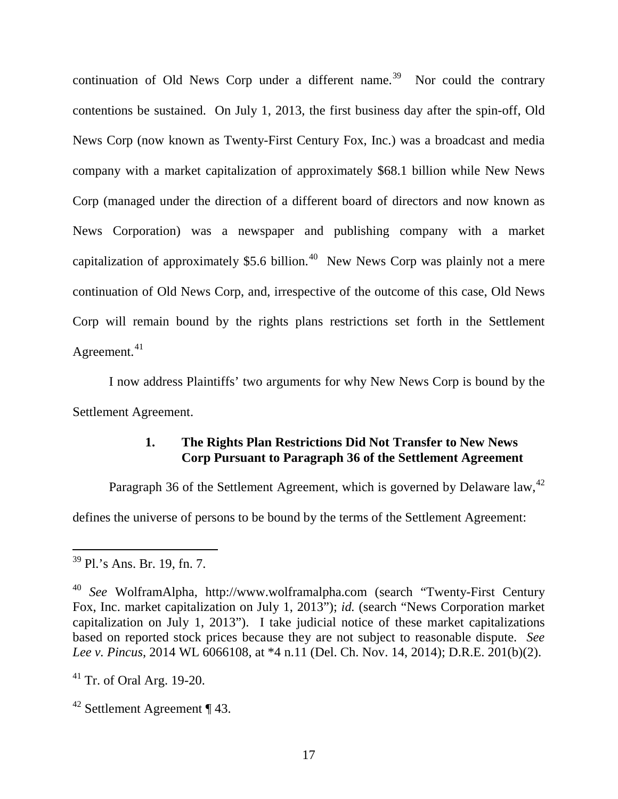continuation of Old News Corp under a different name.<sup>39</sup> Nor could the contrary contentions be sustained. On July 1, 2013, the first business day after the spin-off, Old News Corp (now known as Twenty-First Century Fox, Inc.) was a broadcast and media company with a market capitalization of approximately \$68.1 billion while New News Corp (managed under the direction of a different board of directors and now known as News Corporation) was a newspaper and publishing company with a market capitalization of approximately \$5.6 billion.<sup>[40](#page-17-1)</sup> New News Corp was plainly not a mere continuation of Old News Corp, and, irrespective of the outcome of this case, Old News Corp will remain bound by the rights plans restrictions set forth in the Settlement Agreement. $41$ 

I now address Plaintiffs' two arguments for why New News Corp is bound by the Settlement Agreement.

### **1. The Rights Plan Restrictions Did Not Transfer to New News Corp Pursuant to Paragraph 36 of the Settlement Agreement**

Paragraph 36 of the Settlement Agreement, which is governed by Delaware law,<sup>[42](#page-17-3)</sup>

defines the universe of persons to be bound by the terms of the Settlement Agreement:

<span id="page-17-0"></span><sup>&</sup>lt;sup>39</sup> Pl.'s Ans. Br. 19, fn. 7.

<span id="page-17-1"></span><sup>40</sup> *See* WolframAlpha, http://www.wolframalpha.com (search "Twenty-First Century Fox, Inc. market capitalization on July 1, 2013"); *id.* (search "News Corporation market capitalization on July 1, 2013"). I take judicial notice of these market capitalizations based on reported stock prices because they are not subject to reasonable dispute. *See Lee v. Pincus*, 2014 WL 6066108, at \*4 n.11 (Del. Ch. Nov. 14, 2014); D.R.E. 201(b)(2).

<span id="page-17-2"></span><sup>41</sup> Tr. of Oral Arg. 19-20.

<span id="page-17-3"></span><sup>42</sup> Settlement Agreement ¶ 43.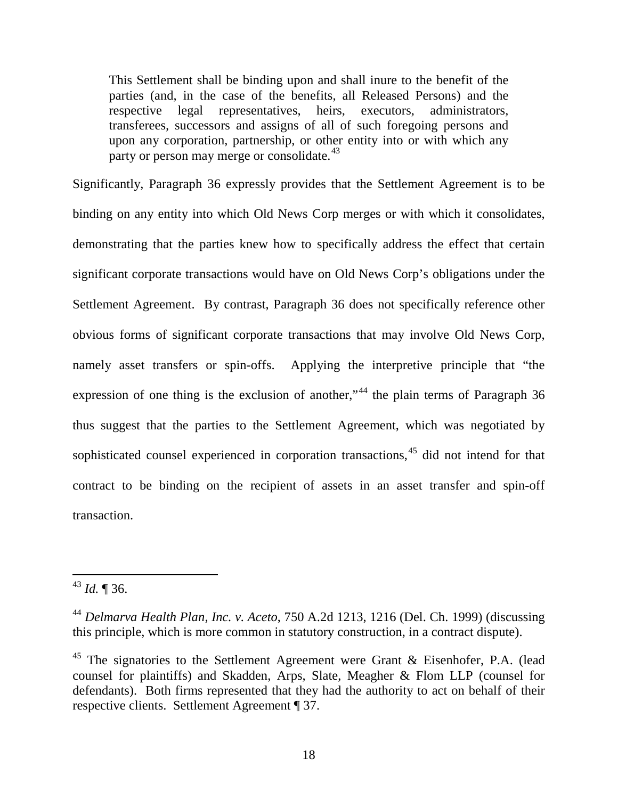This Settlement shall be binding upon and shall inure to the benefit of the parties (and, in the case of the benefits, all Released Persons) and the respective legal representatives, heirs, executors, administrators, transferees*,* successors and assigns of all of such foregoing persons and upon any corporation, partnership, or other entity into or with which any party or person may merge or consolidate.<sup>[43](#page-18-0)</sup>

Significantly, Paragraph 36 expressly provides that the Settlement Agreement is to be binding on any entity into which Old News Corp merges or with which it consolidates, demonstrating that the parties knew how to specifically address the effect that certain significant corporate transactions would have on Old News Corp's obligations under the Settlement Agreement. By contrast, Paragraph 36 does not specifically reference other obvious forms of significant corporate transactions that may involve Old News Corp, namely asset transfers or spin-offs. Applying the interpretive principle that "the expression of one thing is the exclusion of another,"<sup>[44](#page-18-1)</sup> the plain terms of Paragraph 36 thus suggest that the parties to the Settlement Agreement, which was negotiated by sophisticated counsel experienced in corporation transactions, [45](#page-18-2) did not intend for that contract to be binding on the recipient of assets in an asset transfer and spin-off transaction.

<span id="page-18-0"></span><sup>43</sup> *Id.* ¶ 36.

<span id="page-18-1"></span><sup>44</sup> *Delmarva Health Plan, Inc. v. Aceto*, 750 A.2d 1213, 1216 (Del. Ch. 1999) (discussing this principle, which is more common in statutory construction, in a contract dispute).

<span id="page-18-2"></span><sup>&</sup>lt;sup>45</sup> The signatories to the Settlement Agreement were Grant & Eisenhofer, P.A. (lead counsel for plaintiffs) and Skadden, Arps, Slate, Meagher & Flom LLP (counsel for defendants). Both firms represented that they had the authority to act on behalf of their respective clients. Settlement Agreement ¶ 37.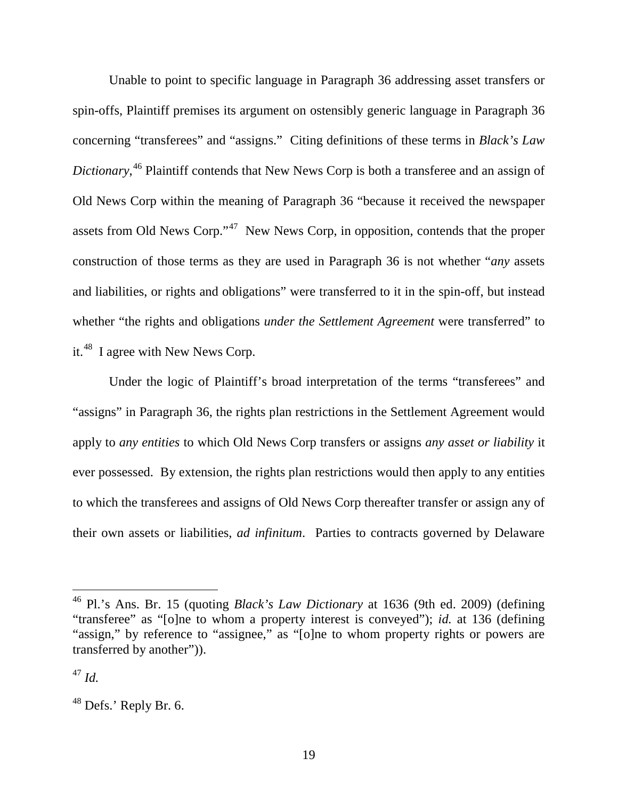Unable to point to specific language in Paragraph 36 addressing asset transfers or spin-offs, Plaintiff premises its argument on ostensibly generic language in Paragraph 36 concerning "transferees" and "assigns." Citing definitions of these terms in *Black's Law Dictionary*, [46](#page-19-0) Plaintiff contends that New News Corp is both a transferee and an assign of Old News Corp within the meaning of Paragraph 36 "because it received the newspaper assets from Old News Corp."<sup>47</sup> New News Corp, in opposition, contends that the proper construction of those terms as they are used in Paragraph 36 is not whether "*any* assets and liabilities, or rights and obligations" were transferred to it in the spin-off, but instead whether "the rights and obligations *under the Settlement Agreement* were transferred" to it.[48](#page-19-2) I agree with New News Corp.

Under the logic of Plaintiff's broad interpretation of the terms "transferees" and "assigns" in Paragraph 36, the rights plan restrictions in the Settlement Agreement would apply to *any entities* to which Old News Corp transfers or assigns *any asset or liability* it ever possessed. By extension, the rights plan restrictions would then apply to any entities to which the transferees and assigns of Old News Corp thereafter transfer or assign any of their own assets or liabilities, *ad infinitum*. Parties to contracts governed by Delaware

<span id="page-19-0"></span><sup>46</sup> Pl.'s Ans. Br. 15 (quoting *Black's Law Dictionary* at 1636 (9th ed. 2009) (defining "transferee" as "[o]ne to whom a property interest is conveyed"); *id.* at 136 (defining "assign," by reference to "assignee," as "[o]ne to whom property rights or powers are transferred by another")).

<span id="page-19-1"></span><sup>47</sup> *Id.*

<span id="page-19-2"></span> $48$  Defs.' Reply Br. 6.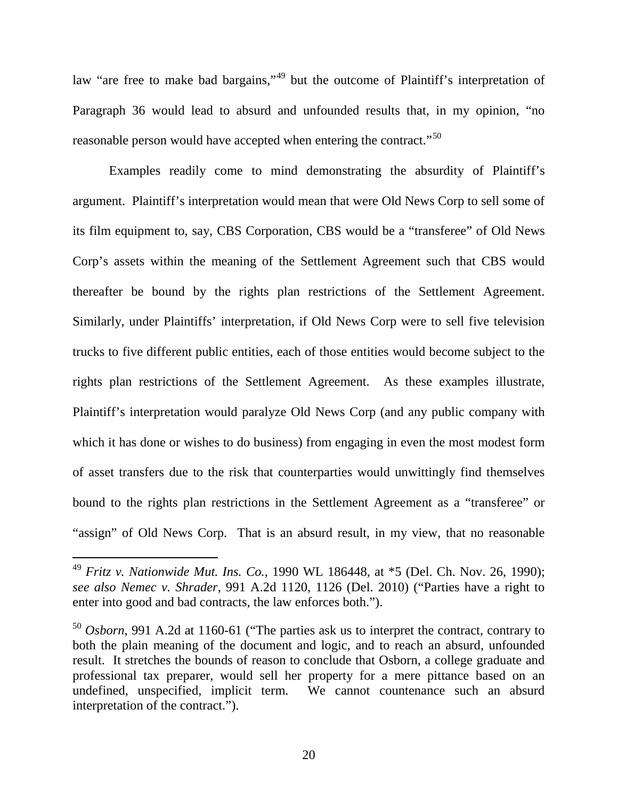law "are free to make bad bargains,"[49](#page-20-0) but the outcome of Plaintiff's interpretation of Paragraph 36 would lead to absurd and unfounded results that, in my opinion, "no reasonable person would have accepted when entering the contract."<sup>50</sup>

Examples readily come to mind demonstrating the absurdity of Plaintiff's argument. Plaintiff's interpretation would mean that were Old News Corp to sell some of its film equipment to, say, CBS Corporation, CBS would be a "transferee" of Old News Corp's assets within the meaning of the Settlement Agreement such that CBS would thereafter be bound by the rights plan restrictions of the Settlement Agreement. Similarly, under Plaintiffs' interpretation, if Old News Corp were to sell five television trucks to five different public entities, each of those entities would become subject to the rights plan restrictions of the Settlement Agreement. As these examples illustrate, Plaintiff's interpretation would paralyze Old News Corp (and any public company with which it has done or wishes to do business) from engaging in even the most modest form of asset transfers due to the risk that counterparties would unwittingly find themselves bound to the rights plan restrictions in the Settlement Agreement as a "transferee" or "assign" of Old News Corp. That is an absurd result, in my view, that no reasonable

<span id="page-20-0"></span><sup>49</sup> *Fritz v. Nationwide Mut. Ins. Co.*, 1990 WL 186448, at \*5 (Del. Ch. Nov. 26, 1990); *see also Nemec v. Shrader*, 991 A.2d 1120, 1126 (Del. 2010) ("Parties have a right to enter into good and bad contracts, the law enforces both.").

<span id="page-20-1"></span><sup>50</sup> *Osborn*, 991 A.2d at 1160-61 ("The parties ask us to interpret the contract, contrary to both the plain meaning of the document and logic, and to reach an absurd, unfounded result. It stretches the bounds of reason to conclude that Osborn, a college graduate and professional tax preparer, would sell her property for a mere pittance based on an undefined, unspecified, implicit term. We cannot countenance such an absurd interpretation of the contract.").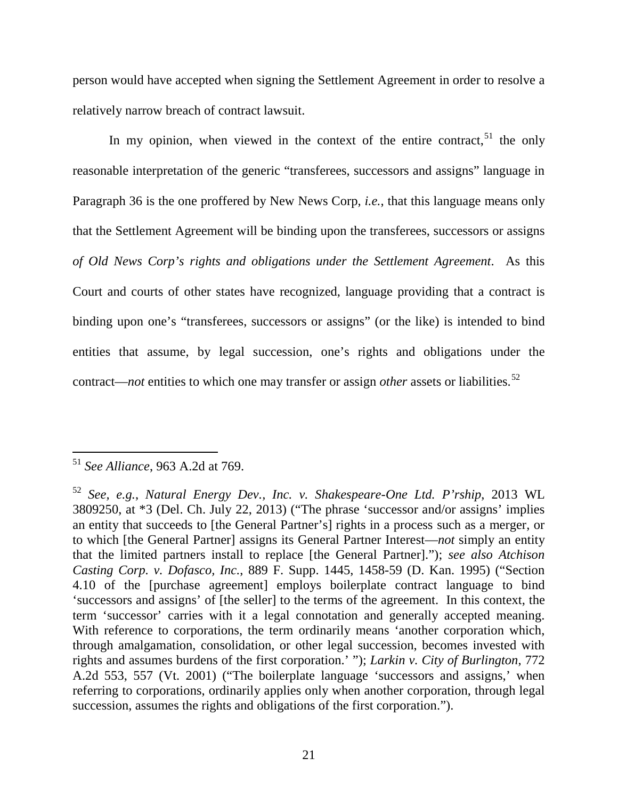person would have accepted when signing the Settlement Agreement in order to resolve a relatively narrow breach of contract lawsuit.

In my opinion, when viewed in the context of the entire contract,  $51$  the only reasonable interpretation of the generic "transferees, successors and assigns" language in Paragraph 36 is the one proffered by New News Corp, *i.e.*, that this language means only that the Settlement Agreement will be binding upon the transferees, successors or assigns *of Old News Corp's rights and obligations under the Settlement Agreement*. As this Court and courts of other states have recognized, language providing that a contract is binding upon one's "transferees, successors or assigns" (or the like) is intended to bind entities that assume, by legal succession, one's rights and obligations under the contract—*not* entities to which one may transfer or assign *other* assets or liabilities. [52](#page-21-1)

<span id="page-21-0"></span><sup>51</sup> *See Alliance*, 963 A.2d at 769.  $\overline{a}$ 

<span id="page-21-1"></span><sup>52</sup> *See, e.g.*, *Natural Energy Dev., Inc. v. Shakespeare-One Ltd. P'rship*, 2013 WL 3809250, at \*3 (Del. Ch. July 22, 2013) ("The phrase 'successor and/or assigns' implies an entity that succeeds to [the General Partner's] rights in a process such as a merger, or to which [the General Partner] assigns its General Partner Interest—*not* simply an entity that the limited partners install to replace [the General Partner]."); *see also Atchison Casting Corp. v. Dofasco, Inc.*, 889 F. Supp. 1445, 1458-59 (D. Kan. 1995) ("Section 4.10 of the [purchase agreement] employs boilerplate contract language to bind 'successors and assigns' of [the seller] to the terms of the agreement. In this context, the term 'successor' carries with it a legal connotation and generally accepted meaning. With reference to corporations, the term ordinarily means 'another corporation which, through amalgamation, consolidation, or other legal succession, becomes invested with rights and assumes burdens of the first corporation.' "); *Larkin v. City of Burlington*, 772 A.2d 553, 557 (Vt. 2001) ("The boilerplate language 'successors and assigns,' when referring to corporations, ordinarily applies only when another corporation, through legal succession, assumes the rights and obligations of the first corporation.").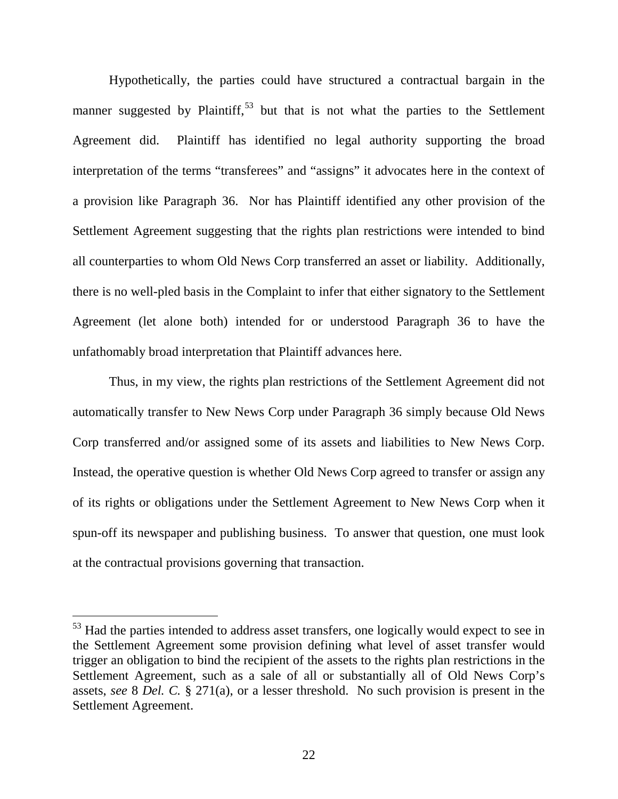Hypothetically, the parties could have structured a contractual bargain in the manner suggested by Plaintiff,  $53$  but that is not what the parties to the Settlement Agreement did. Plaintiff has identified no legal authority supporting the broad interpretation of the terms "transferees" and "assigns" it advocates here in the context of a provision like Paragraph 36. Nor has Plaintiff identified any other provision of the Settlement Agreement suggesting that the rights plan restrictions were intended to bind all counterparties to whom Old News Corp transferred an asset or liability. Additionally, there is no well-pled basis in the Complaint to infer that either signatory to the Settlement Agreement (let alone both) intended for or understood Paragraph 36 to have the unfathomably broad interpretation that Plaintiff advances here.

Thus, in my view, the rights plan restrictions of the Settlement Agreement did not automatically transfer to New News Corp under Paragraph 36 simply because Old News Corp transferred and/or assigned some of its assets and liabilities to New News Corp. Instead, the operative question is whether Old News Corp agreed to transfer or assign any of its rights or obligations under the Settlement Agreement to New News Corp when it spun-off its newspaper and publishing business. To answer that question, one must look at the contractual provisions governing that transaction.

<span id="page-22-0"></span><sup>&</sup>lt;sup>53</sup> Had the parties intended to address asset transfers, one logically would expect to see in the Settlement Agreement some provision defining what level of asset transfer would trigger an obligation to bind the recipient of the assets to the rights plan restrictions in the Settlement Agreement, such as a sale of all or substantially all of Old News Corp's assets, *see* 8 *Del. C.* § 271(a), or a lesser threshold. No such provision is present in the Settlement Agreement.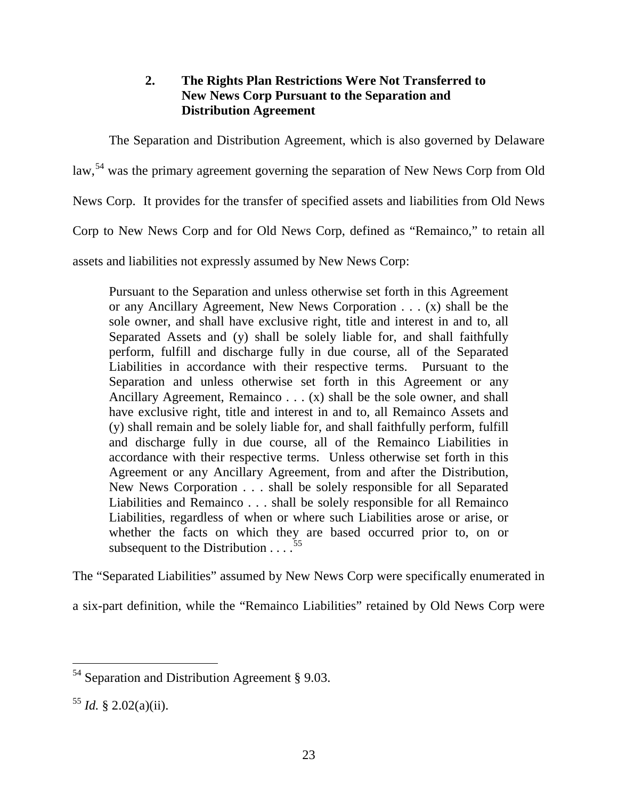# **2. The Rights Plan Restrictions Were Not Transferred to New News Corp Pursuant to the Separation and Distribution Agreement**

The Separation and Distribution Agreement, which is also governed by Delaware

law,<sup>[54](#page-23-0)</sup> was the primary agreement governing the separation of New News Corp from Old

News Corp. It provides for the transfer of specified assets and liabilities from Old News

Corp to New News Corp and for Old News Corp, defined as "Remainco," to retain all

assets and liabilities not expressly assumed by New News Corp:

Pursuant to the Separation and unless otherwise set forth in this Agreement or any Ancillary Agreement, New News Corporation . . . (x) shall be the sole owner, and shall have exclusive right, title and interest in and to, all Separated Assets and (y) shall be solely liable for, and shall faithfully perform, fulfill and discharge fully in due course, all of the Separated Liabilities in accordance with their respective terms. Pursuant to the Separation and unless otherwise set forth in this Agreement or any Ancillary Agreement, Remainco . . . (x) shall be the sole owner, and shall have exclusive right, title and interest in and to, all Remainco Assets and (y) shall remain and be solely liable for, and shall faithfully perform, fulfill and discharge fully in due course, all of the Remainco Liabilities in accordance with their respective terms. Unless otherwise set forth in this Agreement or any Ancillary Agreement, from and after the Distribution, New News Corporation . . . shall be solely responsible for all Separated Liabilities and Remainco . . . shall be solely responsible for all Remainco Liabilities, regardless of when or where such Liabilities arose or arise, or whether the facts on which they are based occurred prior to, on or subsequent to the Distribution  $\ldots$ <sup>[55](#page-23-1)</sup>

The "Separated Liabilities" assumed by New News Corp were specifically enumerated in

a six-part definition, while the "Remainco Liabilities" retained by Old News Corp were

<span id="page-23-0"></span> $54$  Separation and Distribution Agreement § 9.03.  $\overline{a}$ 

<span id="page-23-1"></span> $^{55}$  *Id.* § 2.02(a)(ii).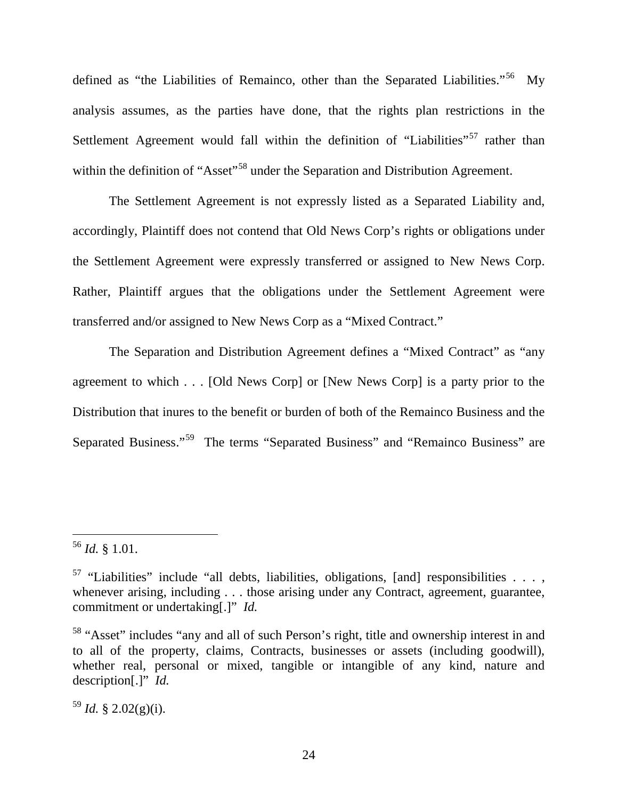defined as "the Liabilities of Remainco, other than the Separated Liabilities."<sup>[56](#page-24-0)</sup> My analysis assumes, as the parties have done, that the rights plan restrictions in the Settlement Agreement would fall within the definition of "Liabilities"<sup>[57](#page-24-1)</sup> rather than within the definition of "Asset"<sup>[58](#page-24-2)</sup> under the Separation and Distribution Agreement.

The Settlement Agreement is not expressly listed as a Separated Liability and, accordingly, Plaintiff does not contend that Old News Corp's rights or obligations under the Settlement Agreement were expressly transferred or assigned to New News Corp. Rather, Plaintiff argues that the obligations under the Settlement Agreement were transferred and/or assigned to New News Corp as a "Mixed Contract."

The Separation and Distribution Agreement defines a "Mixed Contract" as "any agreement to which . . . [Old News Corp] or [New News Corp] is a party prior to the Distribution that inures to the benefit or burden of both of the Remainco Business and the Separated Business."<sup>59</sup> The terms "Separated Business" and "Remainco Business" are

 $\overline{a}$ 

<span id="page-24-3"></span> $^{59}$  *Id.* § 2.02(g)(i).

<span id="page-24-0"></span><sup>56</sup> *Id.* § 1.01.

<span id="page-24-1"></span><sup>&</sup>lt;sup>57</sup> "Liabilities" include "all debts, liabilities, obligations, [and] responsibilities  $\ldots$ , whenever arising, including . . . those arising under any Contract, agreement, guarantee, commitment or undertaking[.]" *Id.*

<span id="page-24-2"></span><sup>&</sup>lt;sup>58</sup> "Asset" includes "any and all of such Person's right, title and ownership interest in and to all of the property, claims, Contracts, businesses or assets (including goodwill), whether real, personal or mixed, tangible or intangible of any kind, nature and description[.]" *Id.*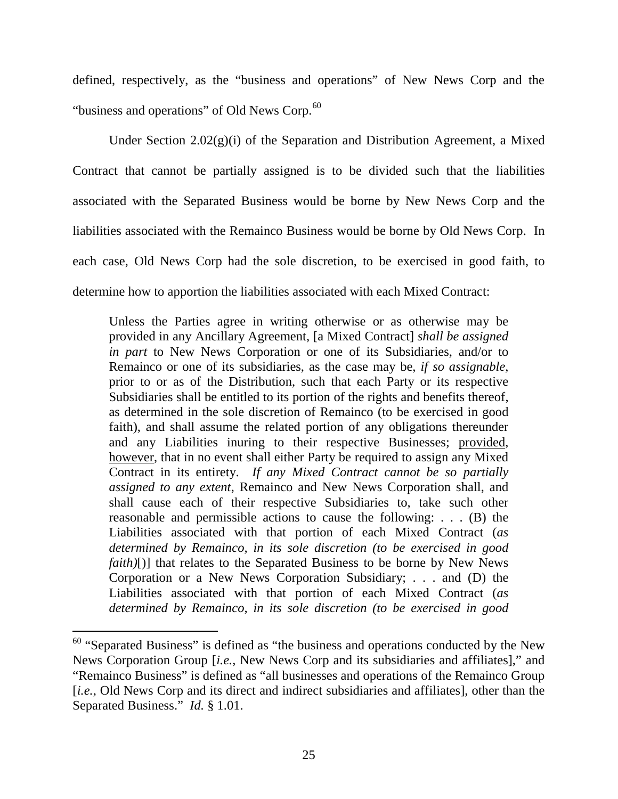defined, respectively, as the "business and operations" of New News Corp and the "business and operations" of Old News Corp.<sup>[60](#page-25-0)</sup>

Under Section  $2.02(g)(i)$  of the Separation and Distribution Agreement, a Mixed Contract that cannot be partially assigned is to be divided such that the liabilities associated with the Separated Business would be borne by New News Corp and the liabilities associated with the Remainco Business would be borne by Old News Corp. In each case, Old News Corp had the sole discretion, to be exercised in good faith, to determine how to apportion the liabilities associated with each Mixed Contract:

Unless the Parties agree in writing otherwise or as otherwise may be provided in any Ancillary Agreement, [a Mixed Contract] *shall be assigned in part* to New News Corporation or one of its Subsidiaries, and/or to Remainco or one of its subsidiaries, as the case may be, *if so assignable*, prior to or as of the Distribution, such that each Party or its respective Subsidiaries shall be entitled to its portion of the rights and benefits thereof, as determined in the sole discretion of Remainco (to be exercised in good faith), and shall assume the related portion of any obligations thereunder and any Liabilities inuring to their respective Businesses; provided, however, that in no event shall either Party be required to assign any Mixed Contract in its entirety. *If any Mixed Contract cannot be so partially assigned to any extent*, Remainco and New News Corporation shall, and shall cause each of their respective Subsidiaries to, take such other reasonable and permissible actions to cause the following: . . . (B) the Liabilities associated with that portion of each Mixed Contract (*as determined by Remainco, in its sole discretion (to be exercised in good faith*)[)] that relates to the Separated Business to be borne by New News Corporation or a New News Corporation Subsidiary; . . . and (D) the Liabilities associated with that portion of each Mixed Contract (*as determined by Remainco, in its sole discretion (to be exercised in good* 

<span id="page-25-0"></span> $60$  "Separated Business" is defined as "the business and operations conducted by the New News Corporation Group [*i.e.*, New News Corp and its subsidiaries and affiliates]," and "Remainco Business" is defined as "all businesses and operations of the Remainco Group [*i.e.*, Old News Corp and its direct and indirect subsidiaries and affiliates], other than the Separated Business." *Id.* § 1.01.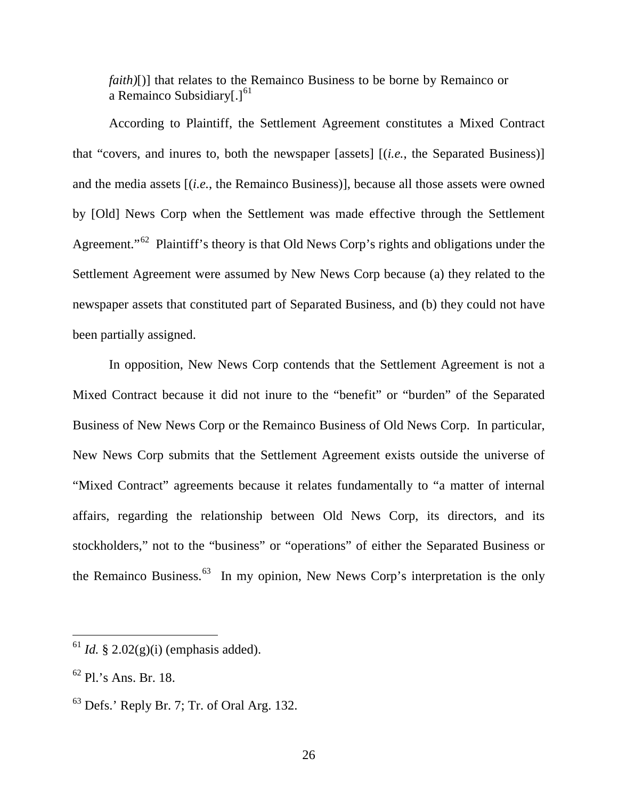*faith*)[)] that relates to the Remainco Business to be borne by Remainco or a Remainco Subsidiary $[.]^{61}$  $[.]^{61}$  $[.]^{61}$ 

According to Plaintiff, the Settlement Agreement constitutes a Mixed Contract that "covers, and inures to, both the newspaper [assets] [(*i.e.*, the Separated Business)] and the media assets [(*i.e.*, the Remainco Business)], because all those assets were owned by [Old] News Corp when the Settlement was made effective through the Settlement Agreement."<sup>62</sup> Plaintiff's theory is that Old News Corp's rights and obligations under the Settlement Agreement were assumed by New News Corp because (a) they related to the newspaper assets that constituted part of Separated Business, and (b) they could not have been partially assigned.

In opposition, New News Corp contends that the Settlement Agreement is not a Mixed Contract because it did not inure to the "benefit" or "burden" of the Separated Business of New News Corp or the Remainco Business of Old News Corp. In particular, New News Corp submits that the Settlement Agreement exists outside the universe of "Mixed Contract" agreements because it relates fundamentally to "a matter of internal affairs, regarding the relationship between Old News Corp, its directors, and its stockholders," not to the "business" or "operations" of either the Separated Business or the Remainco Business.<sup>[63](#page-26-2)</sup> In my opinion, New News Corp's interpretation is the only

<span id="page-26-0"></span> $^{61}$  *Id.* § 2.02(g)(i) (emphasis added).

<span id="page-26-1"></span> $62$  Pl.'s Ans. Br. 18.

<span id="page-26-2"></span> $63$  Defs.' Reply Br. 7; Tr. of Oral Arg. 132.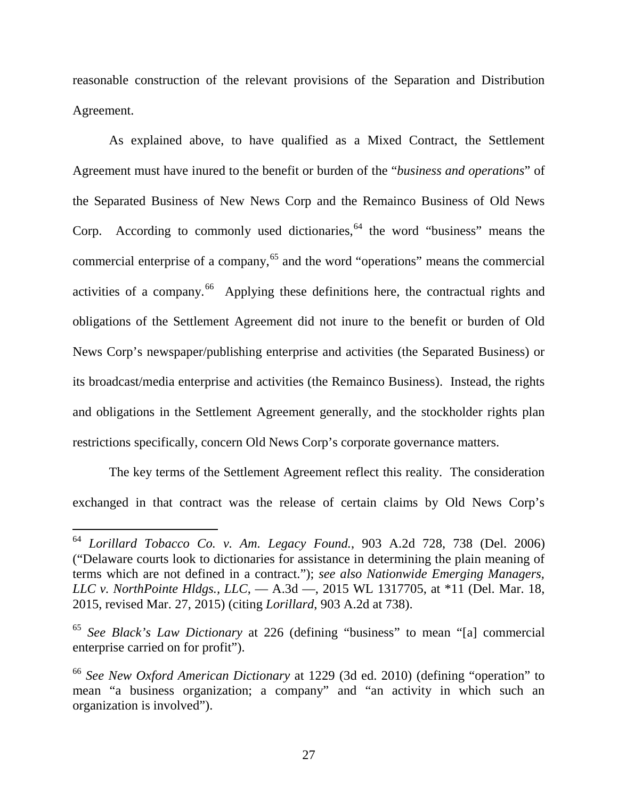reasonable construction of the relevant provisions of the Separation and Distribution Agreement.

As explained above, to have qualified as a Mixed Contract, the Settlement Agreement must have inured to the benefit or burden of the "*business and operations*" of the Separated Business of New News Corp and the Remainco Business of Old News Corp. According to commonly used dictionaries,  $64$  the word "business" means the commercial enterprise of a company,  $65$  and the word "operations" means the commercial activities of a company.<sup>[66](#page-27-2)</sup> Applying these definitions here, the contractual rights and obligations of the Settlement Agreement did not inure to the benefit or burden of Old News Corp's newspaper/publishing enterprise and activities (the Separated Business) or its broadcast/media enterprise and activities (the Remainco Business). Instead, the rights and obligations in the Settlement Agreement generally, and the stockholder rights plan restrictions specifically, concern Old News Corp's corporate governance matters.

The key terms of the Settlement Agreement reflect this reality. The consideration exchanged in that contract was the release of certain claims by Old News Corp's

<span id="page-27-0"></span><sup>64</sup> *Lorillard Tobacco Co. v. Am. Legacy Found.*, 903 A.2d 728, 738 (Del. 2006) ("Delaware courts look to dictionaries for assistance in determining the plain meaning of terms which are not defined in a contract."); *see also Nationwide Emerging Managers, LLC v. NorthPointe Hldgs., LLC*, — A.3d —, 2015 WL 1317705, at \*11 (Del. Mar. 18, 2015, revised Mar. 27, 2015) (citing *Lorillard*, 903 A.2d at 738).

<span id="page-27-1"></span><sup>65</sup> *See Black's Law Dictionary* at 226 (defining "business" to mean "[a] commercial enterprise carried on for profit").

<span id="page-27-2"></span><sup>66</sup> *See New Oxford American Dictionary* at 1229 (3d ed. 2010) (defining "operation" to mean "a business organization; a company" and "an activity in which such an organization is involved").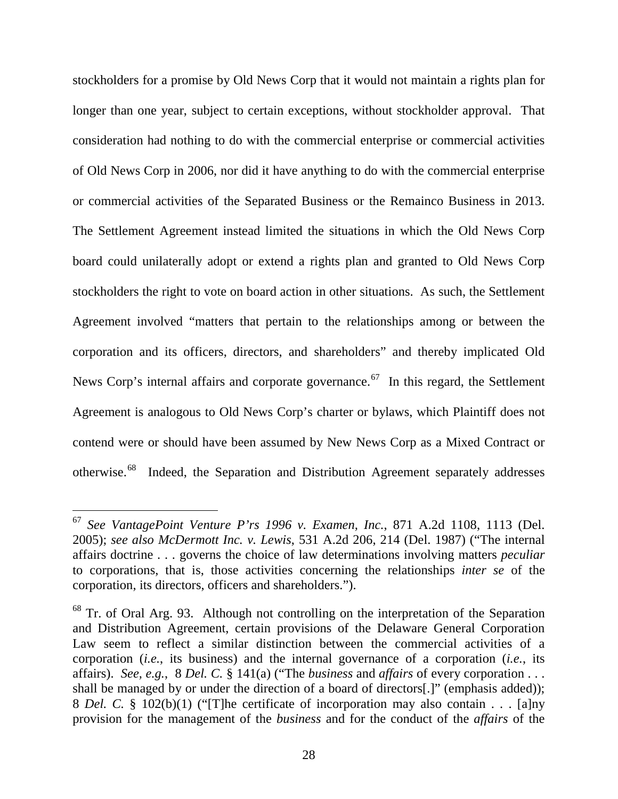stockholders for a promise by Old News Corp that it would not maintain a rights plan for longer than one year, subject to certain exceptions, without stockholder approval. That consideration had nothing to do with the commercial enterprise or commercial activities of Old News Corp in 2006, nor did it have anything to do with the commercial enterprise or commercial activities of the Separated Business or the Remainco Business in 2013. The Settlement Agreement instead limited the situations in which the Old News Corp board could unilaterally adopt or extend a rights plan and granted to Old News Corp stockholders the right to vote on board action in other situations. As such, the Settlement Agreement involved "matters that pertain to the relationships among or between the corporation and its officers, directors, and shareholders" and thereby implicated Old News Corp's internal affairs and corporate governance.<sup>[67](#page-28-0)</sup> In this regard, the Settlement Agreement is analogous to Old News Corp's charter or bylaws, which Plaintiff does not contend were or should have been assumed by New News Corp as a Mixed Contract or otherwise.<sup>[68](#page-28-1)</sup> Indeed, the Separation and Distribution Agreement separately addresses

<span id="page-28-0"></span><sup>67</sup> *See VantagePoint Venture P'rs 1996 v. Examen, Inc.*, 871 A.2d 1108, 1113 (Del. 2005); *see also McDermott Inc. v. Lewis*, 531 A.2d 206, 214 (Del. 1987) ("The internal affairs doctrine . . . governs the choice of law determinations involving matters *peculiar* to corporations, that is, those activities concerning the relationships *inter se* of the corporation, its directors, officers and shareholders.").

<span id="page-28-1"></span><sup>&</sup>lt;sup>68</sup> Tr. of Oral Arg. 93. Although not controlling on the interpretation of the Separation and Distribution Agreement, certain provisions of the Delaware General Corporation Law seem to reflect a similar distinction between the commercial activities of a corporation (*i.e.*, its business) and the internal governance of a corporation (*i.e.*, its affairs). *See, e.g.*, 8 *Del. C.* § 141(a) ("The *business* and *affairs* of every corporation . . . shall be managed by or under the direction of a board of directors[.]" (emphasis added)); 8 *Del. C.* § 102(b)(1) ("[T]he certificate of incorporation may also contain . . . [a]ny provision for the management of the *business* and for the conduct of the *affairs* of the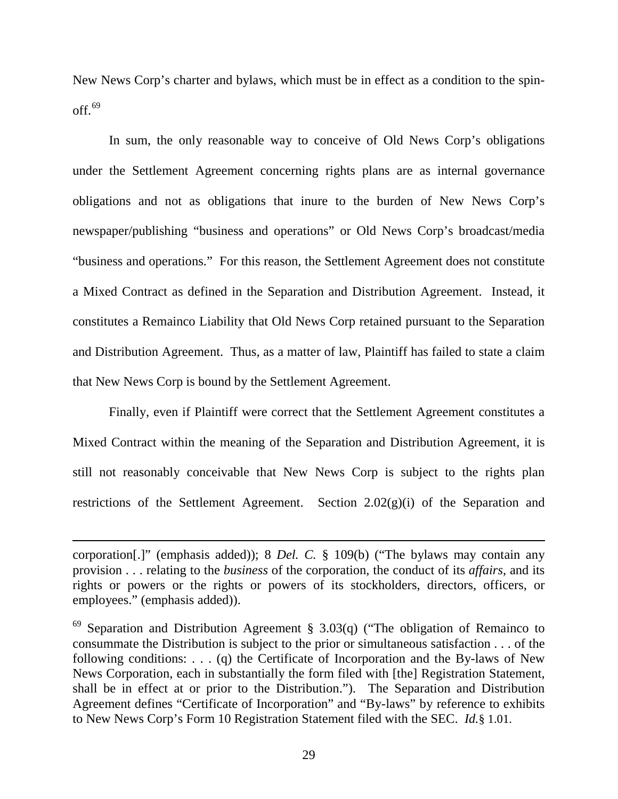New News Corp's charter and bylaws, which must be in effect as a condition to the spin- $off.<sup>69</sup>$  $off.<sup>69</sup>$  $off.<sup>69</sup>$ 

In sum, the only reasonable way to conceive of Old News Corp's obligations under the Settlement Agreement concerning rights plans are as internal governance obligations and not as obligations that inure to the burden of New News Corp's newspaper/publishing "business and operations" or Old News Corp's broadcast/media "business and operations." For this reason, the Settlement Agreement does not constitute a Mixed Contract as defined in the Separation and Distribution Agreement. Instead, it constitutes a Remainco Liability that Old News Corp retained pursuant to the Separation and Distribution Agreement. Thus, as a matter of law, Plaintiff has failed to state a claim that New News Corp is bound by the Settlement Agreement.

Finally, even if Plaintiff were correct that the Settlement Agreement constitutes a Mixed Contract within the meaning of the Separation and Distribution Agreement, it is still not reasonably conceivable that New News Corp is subject to the rights plan restrictions of the Settlement Agreement. Section  $2.02(g)(i)$  of the Separation and

corporation[.]" (emphasis added)); 8 *Del. C.* § 109(b) ("The bylaws may contain any provision . . . relating to the *business* of the corporation, the conduct of its *affairs*, and its rights or powers or the rights or powers of its stockholders, directors, officers, or employees." (emphasis added)).

<span id="page-29-0"></span> $69$  Separation and Distribution Agreement § 3.03(q) ("The obligation of Remainco to consummate the Distribution is subject to the prior or simultaneous satisfaction . . . of the following conditions: . . . (q) the Certificate of Incorporation and the By-laws of New News Corporation, each in substantially the form filed with [the] Registration Statement, shall be in effect at or prior to the Distribution."). The Separation and Distribution Agreement defines "Certificate of Incorporation" and "By-laws" by reference to exhibits to New News Corp's Form 10 Registration Statement filed with the SEC. *Id.*§ 1.01.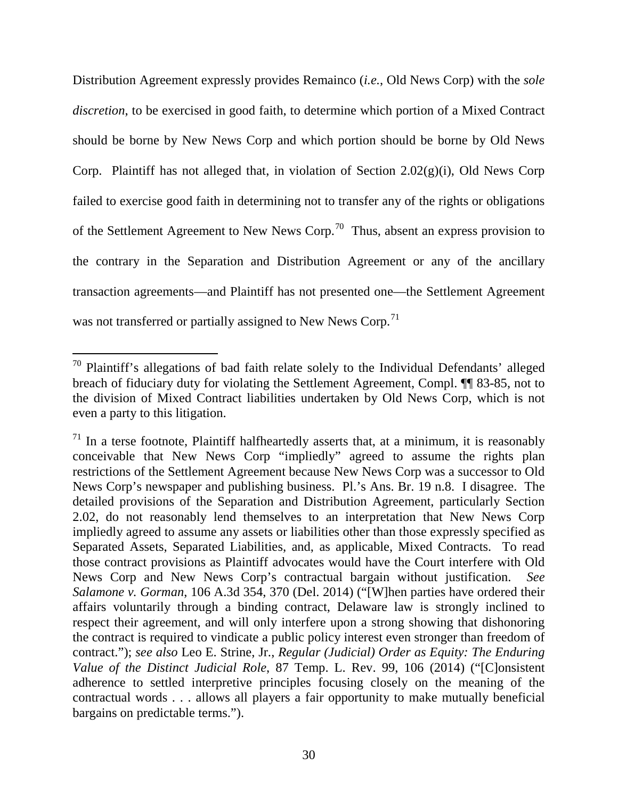Distribution Agreement expressly provides Remainco (*i.e.*, Old News Corp) with the *sole discretion*, to be exercised in good faith, to determine which portion of a Mixed Contract should be borne by New News Corp and which portion should be borne by Old News Corp. Plaintiff has not alleged that, in violation of Section  $2.02(g)(i)$ , Old News Corp failed to exercise good faith in determining not to transfer any of the rights or obligations of the Settlement Agreement to New News Corp.[70](#page-30-0) Thus, absent an express provision to the contrary in the Separation and Distribution Agreement or any of the ancillary transaction agreements—and Plaintiff has not presented one—the Settlement Agreement was not transferred or partially assigned to New News Corp.<sup>[71](#page-30-1)</sup>

<span id="page-30-0"></span> $70$  Plaintiff's allegations of bad faith relate solely to the Individual Defendants' alleged breach of fiduciary duty for violating the Settlement Agreement, Compl. ¶¶ 83-85, not to the division of Mixed Contract liabilities undertaken by Old News Corp, which is not even a party to this litigation.  $\overline{a}$ 

<span id="page-30-1"></span> $71$  In a terse footnote, Plaintiff halfheartedly asserts that, at a minimum, it is reasonably conceivable that New News Corp "impliedly" agreed to assume the rights plan restrictions of the Settlement Agreement because New News Corp was a successor to Old News Corp's newspaper and publishing business. Pl.'s Ans. Br. 19 n.8. I disagree. The detailed provisions of the Separation and Distribution Agreement, particularly Section 2.02, do not reasonably lend themselves to an interpretation that New News Corp impliedly agreed to assume any assets or liabilities other than those expressly specified as Separated Assets, Separated Liabilities, and, as applicable, Mixed Contracts. To read those contract provisions as Plaintiff advocates would have the Court interfere with Old News Corp and New News Corp's contractual bargain without justification. *See Salamone v. Gorman*, 106 A.3d 354, 370 (Del. 2014) ("[W]hen parties have ordered their affairs voluntarily through a binding contract, Delaware law is strongly inclined to respect their agreement, and will only interfere upon a strong showing that dishonoring the contract is required to vindicate a public policy interest even stronger than freedom of contract."); *see also* Leo E. Strine, Jr., *Regular (Judicial) Order as Equity: The Enduring Value of the Distinct Judicial Role*, 87 Temp. L. Rev. 99, 106 (2014) ("[C]onsistent adherence to settled interpretive principles focusing closely on the meaning of the contractual words . . . allows all players a fair opportunity to make mutually beneficial bargains on predictable terms.").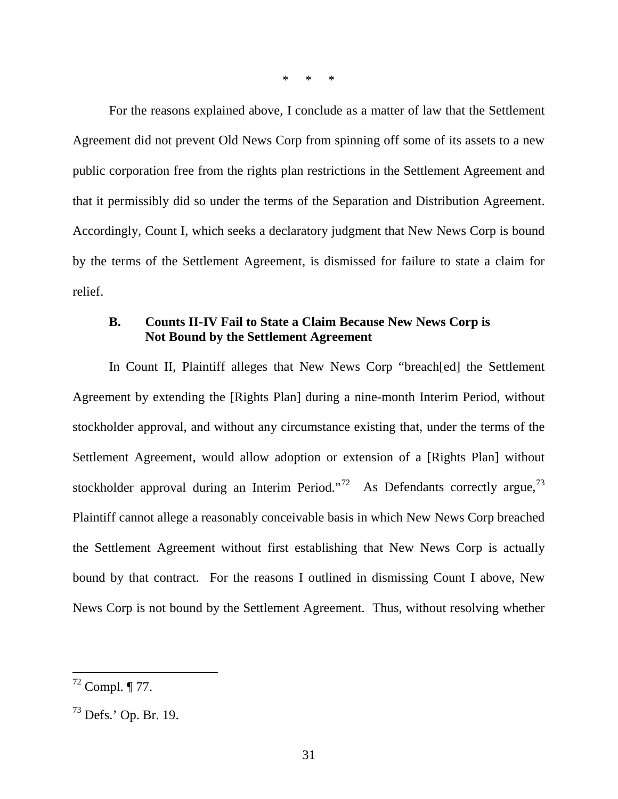\* \* \*

For the reasons explained above, I conclude as a matter of law that the Settlement Agreement did not prevent Old News Corp from spinning off some of its assets to a new public corporation free from the rights plan restrictions in the Settlement Agreement and that it permissibly did so under the terms of the Separation and Distribution Agreement. Accordingly, Count I, which seeks a declaratory judgment that New News Corp is bound by the terms of the Settlement Agreement, is dismissed for failure to state a claim for relief.

### **B. Counts II-IV Fail to State a Claim Because New News Corp is Not Bound by the Settlement Agreement**

In Count II, Plaintiff alleges that New News Corp "breach[ed] the Settlement Agreement by extending the [Rights Plan] during a nine-month Interim Period, without stockholder approval, and without any circumstance existing that, under the terms of the Settlement Agreement, would allow adoption or extension of a [Rights Plan] without stockholder approval during an Interim Period."<sup>[72](#page-31-0)</sup> As Defendants correctly argue,<sup>[73](#page-31-1)</sup> Plaintiff cannot allege a reasonably conceivable basis in which New News Corp breached the Settlement Agreement without first establishing that New News Corp is actually bound by that contract. For the reasons I outlined in dismissing Count I above, New News Corp is not bound by the Settlement Agreement. Thus, without resolving whether

<span id="page-31-0"></span> $72$  Compl. ¶ 77.

<span id="page-31-1"></span><sup>73</sup> Defs.' Op. Br. 19.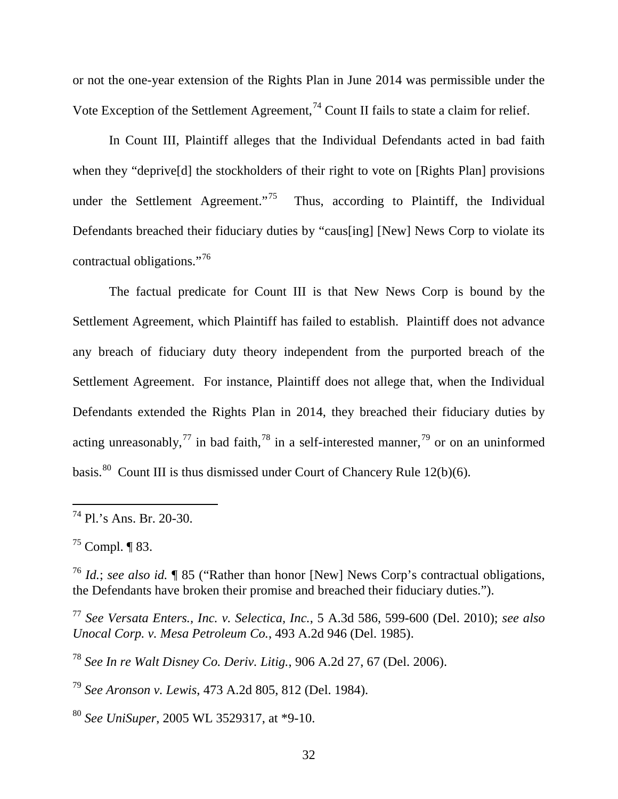or not the one-year extension of the Rights Plan in June 2014 was permissible under the Vote Exception of the Settlement Agreement,  $^{74}$  $^{74}$  $^{74}$  Count II fails to state a claim for relief.

In Count III, Plaintiff alleges that the Individual Defendants acted in bad faith when they "deprive<sup>[d]</sup> the stockholders of their right to vote on [Rights Plan] provisions under the Settlement Agreement."<sup>75</sup> Thus, according to Plaintiff, the Individual Defendants breached their fiduciary duties by "caus[ing] [New] News Corp to violate its contractual obligations."[76](#page-32-2) 

The factual predicate for Count III is that New News Corp is bound by the Settlement Agreement, which Plaintiff has failed to establish. Plaintiff does not advance any breach of fiduciary duty theory independent from the purported breach of the Settlement Agreement. For instance, Plaintiff does not allege that, when the Individual Defendants extended the Rights Plan in 2014, they breached their fiduciary duties by acting unreasonably,<sup>[77](#page-32-3)</sup> in bad faith,<sup>[78](#page-32-4)</sup> in a self-interested manner,<sup>[79](#page-32-5)</sup> or on an uninformed basis.<sup>[80](#page-32-6)</sup> Count III is thus dismissed under Court of Chancery Rule 12(b)(6).

 $\overline{a}$ 

<span id="page-32-3"></span><sup>77</sup> *See Versata Enters., Inc. v. Selectica, Inc.*, 5 A.3d 586, 599-600 (Del. 2010); *see also Unocal Corp. v. Mesa Petroleum Co.*, 493 A.2d 946 (Del. 1985).

<span id="page-32-4"></span><sup>78</sup> *See In re Walt Disney Co. Deriv. Litig.*, 906 A.2d 27, 67 (Del. 2006).

<span id="page-32-5"></span><sup>79</sup> *See Aronson v. Lewis*, 473 A.2d 805, 812 (Del. 1984).

<span id="page-32-6"></span><sup>80</sup> *See UniSuper*, 2005 WL 3529317, at \*9-10.

<span id="page-32-0"></span><sup>74</sup> Pl.'s Ans. Br. 20-30.

<span id="page-32-1"></span> $^{75}$  Compl. ¶ 83.

<span id="page-32-2"></span><sup>76</sup> *Id.*; *see also id.* ¶ 85 ("Rather than honor [New] News Corp's contractual obligations, the Defendants have broken their promise and breached their fiduciary duties.").